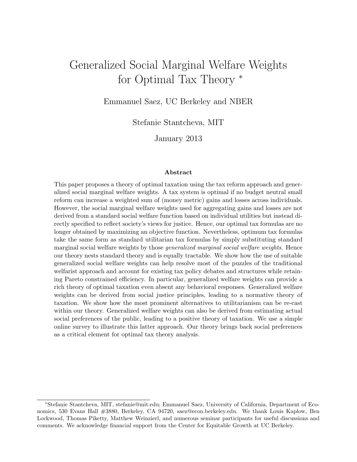# Generalized Social Marginal Welfare Weights for Optimal Tax Theory <sup>∗</sup>

Emmanuel Saez, UC Berkeley and NBER

Stefanie Stantcheva, MIT

January 2013

#### Abstract

This paper proposes a theory of optimal taxation using the tax reform approach and generalized social marginal welfare weights. A tax system is optimal if no budget neutral small reform can increase a weighted sum of (money metric) gains and losses across individuals. However, the social marginal welfare weights used for aggregating gains and losses are not derived from a standard social welfare function based on individual utilities but instead directly specified to reflect society's views for justice. Hence, our optimal tax formulas are no longer obtained by maximizing an objective function. Nevertheless, optimum tax formulas take the same form as standard utilitarian tax formulas by simply substituting standard marginal social welfare weights by those generalized marginal social welfare weights. Hence our theory nests standard theory and is equally tractable. We show how the use of suitable generalized social welfare weights can help resolve most of the puzzles of the traditional welfarist approach and account for existing tax policy debates and structures while retaining Pareto constrained efficiency. In particular, generalized welfare weights can provide a rich theory of optimal taxation even absent any behavioral responses. Generalized welfare weights can be derived from social justice principles, leading to a normative theory of taxation. We show how the most prominent alternatives to utilitarianism can be re-cast within our theory. Generalized welfare weights can also be derived from estimating actual social preferences of the public, leading to a positive theory of taxation. We use a simple online survey to illustrate this latter approach. Our theory brings back social preferences as a critical element for optimal tax theory analysis.

<sup>∗</sup>Stefanie Stantcheva, MIT, stefanie@mit.edu; Emmanuel Saez, University of California, Department of Economics, 530 Evans Hall #3880, Berkeley, CA 94720, saez@econ.berkeley.edu. We thank Louis Kaplow, Ben Lockwood, Thomas Piketty, Matthew Weinzierl, and numerous seminar participants for useful discussions and comments. We acknowledge financial support from the Center for Equitable Growth at UC Berkeley.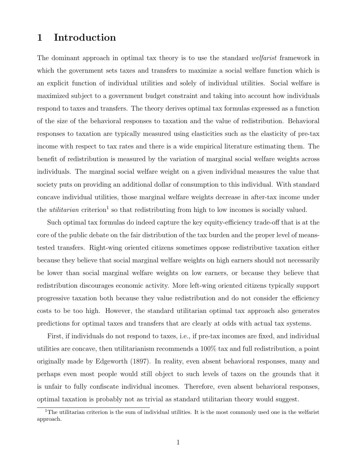# 1 Introduction

The dominant approach in optimal tax theory is to use the standard *welfarist* framework in which the government sets taxes and transfers to maximize a social welfare function which is an explicit function of individual utilities and solely of individual utilities. Social welfare is maximized subject to a government budget constraint and taking into account how individuals respond to taxes and transfers. The theory derives optimal tax formulas expressed as a function of the size of the behavioral responses to taxation and the value of redistribution. Behavioral responses to taxation are typically measured using elasticities such as the elasticity of pre-tax income with respect to tax rates and there is a wide empirical literature estimating them. The benefit of redistribution is measured by the variation of marginal social welfare weights across individuals. The marginal social welfare weight on a given individual measures the value that society puts on providing an additional dollar of consumption to this individual. With standard concave individual utilities, those marginal welfare weights decrease in after-tax income under the *utilitarian* criterion<sup>1</sup> so that redistributing from high to low incomes is socially valued.

Such optimal tax formulas do indeed capture the key equity-efficiency trade-off that is at the core of the public debate on the fair distribution of the tax burden and the proper level of meanstested transfers. Right-wing oriented citizens sometimes oppose redistributive taxation either because they believe that social marginal welfare weights on high earners should not necessarily be lower than social marginal welfare weights on low earners, or because they believe that redistribution discourages economic activity. More left-wing oriented citizens typically support progressive taxation both because they value redistribution and do not consider the efficiency costs to be too high. However, the standard utilitarian optimal tax approach also generates predictions for optimal taxes and transfers that are clearly at odds with actual tax systems.

First, if individuals do not respond to taxes, i.e., if pre-tax incomes are fixed, and individual utilities are concave, then utilitarianism recommends a 100% tax and full redistribution, a point originally made by Edgeworth (1897). In reality, even absent behavioral responses, many and perhaps even most people would still object to such levels of taxes on the grounds that it is unfair to fully confiscate individual incomes. Therefore, even absent behavioral responses, optimal taxation is probably not as trivial as standard utilitarian theory would suggest.

<sup>&</sup>lt;sup>1</sup>The utilitarian criterion is the sum of individual utilities. It is the most commonly used one in the welfarist approach.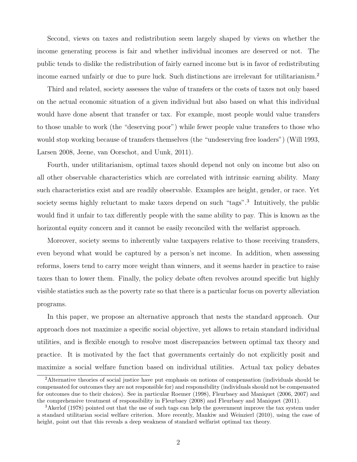Second, views on taxes and redistribution seem largely shaped by views on whether the income generating process is fair and whether individual incomes are deserved or not. The public tends to dislike the redistribution of fairly earned income but is in favor of redistributing income earned unfairly or due to pure luck. Such distinctions are irrelevant for utilitarianism.<sup>2</sup>

Third and related, society assesses the value of transfers or the costs of taxes not only based on the actual economic situation of a given individual but also based on what this individual would have done absent that transfer or tax. For example, most people would value transfers to those unable to work (the "deserving poor") while fewer people value transfers to those who would stop working because of transfers themselves (the "undeserving free loaders") (Will 1993, Larsen 2008, Jeene, van Oorschot, and Uunk, 2011).

Fourth, under utilitarianism, optimal taxes should depend not only on income but also on all other observable characteristics which are correlated with intrinsic earning ability. Many such characteristics exist and are readily observable. Examples are height, gender, or race. Yet society seems highly reluctant to make taxes depend on such "tags".<sup>3</sup> Intuitively, the public would find it unfair to tax differently people with the same ability to pay. This is known as the horizontal equity concern and it cannot be easily reconciled with the welfarist approach.

Moreover, society seems to inherently value taxpayers relative to those receiving transfers, even beyond what would be captured by a person's net income. In addition, when assessing reforms, losers tend to carry more weight than winners, and it seems harder in practice to raise taxes than to lower them. Finally, the policy debate often revolves around specific but highly visible statistics such as the poverty rate so that there is a particular focus on poverty alleviation programs.

In this paper, we propose an alternative approach that nests the standard approach. Our approach does not maximize a specific social objective, yet allows to retain standard individual utilities, and is flexible enough to resolve most discrepancies between optimal tax theory and practice. It is motivated by the fact that governments certainly do not explicitly posit and maximize a social welfare function based on individual utilities. Actual tax policy debates

<sup>&</sup>lt;sup>2</sup>Alternative theories of social justice have put emphasis on notions of compensation (individuals should be compensated for outcomes they are not responsible for) and responsibility (individuals should not be compensated for outcomes due to their choices). See in particular Roemer (1998), Fleurbaey and Maniquet (2006, 2007) and the comprehensive treatment of responsibility in Fleurbaey (2008) and Fleurbaey and Maniquet (2011).

<sup>3</sup>Akerlof (1978) pointed out that the use of such tags can help the government improve the tax system under a standard utilitarian social welfare criterion. More recently, Mankiw and Weinzierl (2010), using the case of height, point out that this reveals a deep weakness of standard welfarist optimal tax theory.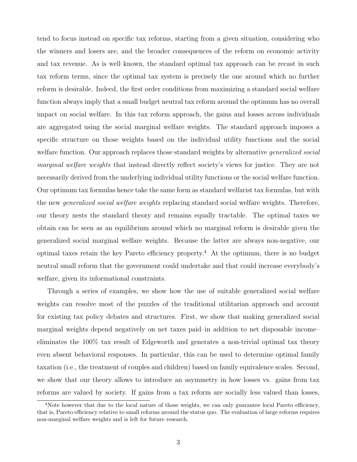tend to focus instead on specific tax reforms, starting from a given situation, considering who the winners and losers are, and the broader consequences of the reform on economic activity and tax revenue. As is well known, the standard optimal tax approach can be recast in such tax reform terms, since the optimal tax system is precisely the one around which no further reform is desirable. Indeed, the first order conditions from maximizing a standard social welfare function always imply that a small budget neutral tax reform around the optimum has no overall impact on social welfare. In this tax reform approach, the gains and losses across individuals are aggregated using the social marginal welfare weights. The standard approach imposes a specific structure on those weights based on the individual utility functions and the social welfare function. Our approach replaces those standard weights by alternative *generalized social* marginal welfare weights that instead directly reflect society's views for justice. They are not necessarily derived from the underlying individual utility functions or the social welfare function. Our optimum tax formulas hence take the same form as standard welfarist tax formulas, but with the new generalized social welfare weights replacing standard social welfare weights. Therefore, our theory nests the standard theory and remains equally tractable. The optimal taxes we obtain can be seen as an equilibrium around which no marginal reform is desirable given the generalized social marginal welfare weights. Because the latter are always non-negative, our optimal taxes retain the key Pareto efficiency property.<sup>4</sup> At the optimum, there is no budget neutral small reform that the government could undertake and that could increase everybody's welfare, given its informational constraints.

Through a series of examples, we show how the use of suitable generalized social welfare weights can resolve most of the puzzles of the traditional utilitarian approach and account for existing tax policy debates and structures. First, we show that making generalized social marginal weights depend negatively on net taxes paid–in addition to net disposable income– eliminates the 100% tax result of Edgeworth and generates a non-trivial optimal tax theory even absent behavioral responses. In particular, this can be used to determine optimal family taxation (i.e., the treatment of couples and children) based on family equivalence scales. Second, we show that our theory allows to introduce an asymmetry in how losses vs. gains from tax reforms are valued by society. If gains from a tax reform are socially less valued than losses,

<sup>&</sup>lt;sup>4</sup>Note however that due to the local nature of those weights, we can only guarantee local Pareto efficiency, that is, Pareto efficiency relative to small reforms around the status quo. The evaluation of large reforms requires non-marginal welfare weights and is left for future research.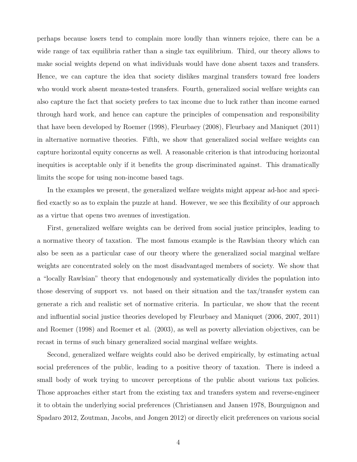perhaps because losers tend to complain more loudly than winners rejoice, there can be a wide range of tax equilibria rather than a single tax equilibrium. Third, our theory allows to make social weights depend on what individuals would have done absent taxes and transfers. Hence, we can capture the idea that society dislikes marginal transfers toward free loaders who would work absent means-tested transfers. Fourth, generalized social welfare weights can also capture the fact that society prefers to tax income due to luck rather than income earned through hard work, and hence can capture the principles of compensation and responsibility that have been developed by Roemer (1998), Fleurbaey (2008), Fleurbaey and Maniquet (2011) in alternative normative theories. Fifth, we show that generalized social welfare weights can capture horizontal equity concerns as well. A reasonable criterion is that introducing horizontal inequities is acceptable only if it benefits the group discriminated against. This dramatically limits the scope for using non-income based tags.

In the examples we present, the generalized welfare weights might appear ad-hoc and specified exactly so as to explain the puzzle at hand. However, we see this flexibility of our approach as a virtue that opens two avenues of investigation.

First, generalized welfare weights can be derived from social justice principles, leading to a normative theory of taxation. The most famous example is the Rawlsian theory which can also be seen as a particular case of our theory where the generalized social marginal welfare weights are concentrated solely on the most disadvantaged members of society. We show that a "locally Rawlsian" theory that endogenously and systematically divides the population into those deserving of support vs. not based on their situation and the tax/transfer system can generate a rich and realistic set of normative criteria. In particular, we show that the recent and influential social justice theories developed by Fleurbaey and Maniquet (2006, 2007, 2011) and Roemer (1998) and Roemer et al. (2003), as well as poverty alleviation objectives, can be recast in terms of such binary generalized social marginal welfare weights.

Second, generalized welfare weights could also be derived empirically, by estimating actual social preferences of the public, leading to a positive theory of taxation. There is indeed a small body of work trying to uncover perceptions of the public about various tax policies. Those approaches either start from the existing tax and transfers system and reverse-engineer it to obtain the underlying social preferences (Christiansen and Jansen 1978, Bourguignon and Spadaro 2012, Zoutman, Jacobs, and Jongen 2012) or directly elicit preferences on various social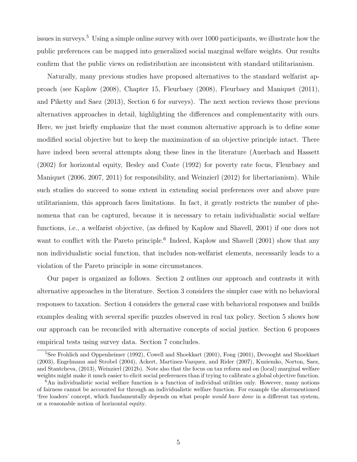issues in surveys.<sup>5</sup> Using a simple online survey with over 1000 participants, we illustrate how the public preferences can be mapped into generalized social marginal welfare weights. Our results confirm that the public views on redistribution are inconsistent with standard utilitarianism.

Naturally, many previous studies have proposed alternatives to the standard welfarist approach (see Kaplow (2008), Chapter 15, Fleurbaey (2008), Fleurbaey and Maniquet (2011), and Piketty and Saez (2013), Section 6 for surveys). The next section reviews those previous alternatives approaches in detail, highlighting the differences and complementarity with ours. Here, we just briefly emphasize that the most common alternative approach is to define some modified social objective but to keep the maximization of an objective principle intact. There have indeed been several attempts along these lines in the literature (Auerbach and Hassett (2002) for horizontal equity, Besley and Coate (1992) for poverty rate focus, Fleurbaey and Maniquet (2006, 2007, 2011) for responsibility, and Weinzierl (2012) for libertarianism). While such studies do succeed to some extent in extending social preferences over and above pure utilitarianism, this approach faces limitations. In fact, it greatly restricts the number of phenomena that can be captured, because it is necessary to retain individualistic social welfare functions, i.e., a welfarist objective, (as defined by Kaplow and Shavell, 2001) if one does not want to conflict with the Pareto principle.<sup>6</sup> Indeed, Kaplow and Shavell (2001) show that any non individualistic social function, that includes non-welfarist elements, necessarily leads to a violation of the Pareto principle in some circumstances.

Our paper is organized as follows. Section 2 outlines our approach and contrasts it with alternative approaches in the literature. Section 3 considers the simpler case with no behavioral responses to taxation. Section 4 considers the general case with behavioral responses and builds examples dealing with several specific puzzles observed in real tax policy. Section 5 shows how our approach can be reconciled with alternative concepts of social justice. Section 6 proposes empirical tests using survey data. Section 7 concludes.

<sup>&</sup>lt;sup>5</sup>See Frohlich and Oppenheimer (1992), Cowell and Shoekkart (2001), Fong (2001), Devooght and Shoekkart (2003), Engelmann and Strobel (2004), Ackert, Martinez-Vazquez, and Rider (2007), Kuziemko, Norton, Saez, and Stantcheva, (2013), Weinzierl (2012b). Note also that the focus on tax reform and on (local) marginal welfare weights might make it much easier to elicit social preferences than if trying to calibrate a global objective function.

 $6$ An individualistic social welfare function is a function of individual utilities only. However, many notions of fairness cannot be accounted for through an individualistic welfare function. For example the aforementioned 'free loaders' concept, which fundamentally depends on what people would have done in a different tax system, or a reasonable notion of horizontal equity.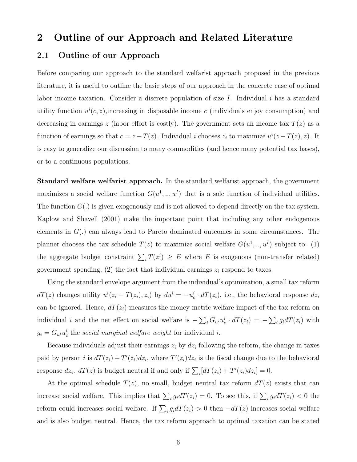### 2 Outline of our Approach and Related Literature

### 2.1 Outline of our Approach

Before comparing our approach to the standard welfarist approach proposed in the previous literature, it is useful to outline the basic steps of our approach in the concrete case of optimal labor income taxation. Consider a discrete population of size  $I$ . Individual  $i$  has a standard utility function  $u^{i}(c, z)$ , increasing in disposable income c (individuals enjoy consumption) and decreasing in earnings z (labor effort is costly). The government sets an income tax  $T(z)$  as a function of earnings so that  $c = z - T(z)$ . Individual i chooses  $z_i$  to maximize  $u^i(z - T(z), z)$ . It is easy to generalize our discussion to many commodities (and hence many potential tax bases), or to a continuous populations.

Standard welfare welfarist approach. In the standard welfarist approach, the government maximizes a social welfare function  $G(u^1, \ldots, u^I)$  that is a sole function of individual utilities. The function  $G(.)$  is given exogenously and is not allowed to depend directly on the tax system. Kaplow and Shavell (2001) make the important point that including any other endogenous elements in  $G(.)$  can always lead to Pareto dominated outcomes in some circumstances. The planner chooses the tax schedule  $T(z)$  to maximize social welfare  $G(u^1, \ldots, u^I)$  subject to: (1) the aggregate budget constraint  $\sum_i T(z^i) \geq E$  where E is exogenous (non-transfer related) government spending,  $(2)$  the fact that individual earnings  $z_i$  respond to taxes.

Using the standard envelope argument from the individual's optimization, a small tax reform  $dT(z)$  changes utility  $u^{i}(z_i - T(z_i), z_i)$  by  $du^{i} = -u_c^{i} \cdot dT(z_i)$ , i.e., the behavioral response  $dz_i$ can be ignored. Hence,  $dT(z_i)$  measures the money-metric welfare impact of the tax reform on individual i and the net effect on social welfare is  $-\sum_i G_{u_i} u_c^i \cdot dT(z_i) = -\sum_i g_i dT(z_i)$  with  $g_i = G_{u^i} u_c^i$  the social marginal welfare weight for individual i.

Because individuals adjust their earnings  $z_i$  by  $dz_i$  following the reform, the change in taxes paid by person *i* is  $dT(z_i) + T'(z_i)dz_i$ , where  $T'(z_i)dz_i$  is the fiscal change due to the behavioral response  $dz_i$ .  $dT(z)$  is budget neutral if and only if  $\sum_i [dT(z_i) + T'(z_i)dz_i] = 0$ .

At the optimal schedule  $T(z)$ , no small, budget neutral tax reform  $dT(z)$  exists that can increase social welfare. This implies that  $\sum_i g_i dT(z_i) = 0$ . To see this, if  $\sum_i g_i dT(z_i) < 0$  the reform could increases social welfare. If  $\sum_i g_i dT(z_i) > 0$  then  $-dT(z)$  increases social welfare and is also budget neutral. Hence, the tax reform approach to optimal taxation can be stated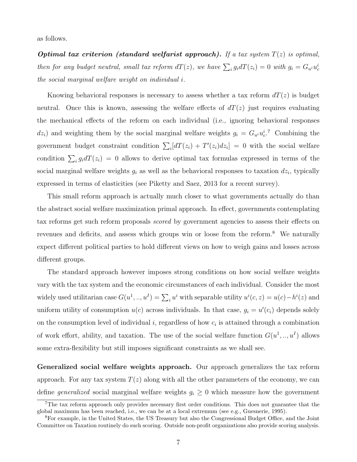as follows.

**Optimal tax criterion (standard welfarist approach).** If a tax system  $T(z)$  is optimal, then for any budget neutral, small tax reform  $dT(z)$ , we have  $\sum_i g_i dT(z_i) = 0$  with  $g_i = G_{u^i} u_c^i$ the social marginal welfare weight on individual i.

Knowing behavioral responses is necessary to assess whether a tax reform  $dT(z)$  is budget neutral. Once this is known, assessing the welfare effects of  $dT(z)$  just requires evaluating the mechanical effects of the reform on each individual (i.e., ignoring behavioral responses  $dz_i$ ) and weighting them by the social marginal welfare weights  $g_i = G_{u_i} u_c^{i}$ .<sup>7</sup> Combining the government budget constraint condition  $\sum_i [dT(z_i) + T'(z_i)dz_i] = 0$  with the social welfare condition  $\sum_i g_i dT(z_i) = 0$  allows to derive optimal tax formulas expressed in terms of the social marginal welfare weights  $g_i$  as well as the behavioral responses to taxation  $dz_i$ , typically expressed in terms of elasticities (see Piketty and Saez, 2013 for a recent survey).

This small reform approach is actually much closer to what governments actually do than the abstract social welfare maximization primal approach. In effect, governments contemplating tax reforms get such reform proposals scored by government agencies to assess their effects on revenues and deficits, and assess which groups win or loose from the reform.<sup>8</sup> We naturally expect different political parties to hold different views on how to weigh gains and losses across different groups.

The standard approach however imposes strong conditions on how social welfare weights vary with the tax system and the economic circumstances of each individual. Consider the most widely used utilitarian case  $G(u^1, \ldots, u^I) = \sum_i u^i$  with separable utility  $u^i(c, z) = u(c) - h^i(z)$  and uniform utility of consumption  $u(c)$  across individuals. In that case,  $g_i = u'(c_i)$  depends solely on the consumption level of individual  $i$ , regardless of how  $c_i$  is attained through a combination of work effort, ability, and taxation. The use of the social welfare function  $G(u^1, \ldots, u^I)$  allows some extra-flexibility but still imposes significant constraints as we shall see.

Generalized social welfare weights approach. Our approach generalizes the tax reform approach. For any tax system  $T(z)$  along with all the other parameters of the economy, we can define *generalized* social marginal welfare weights  $g_i \geq 0$  which measure how the government

 $7$ The tax reform approach only provides necessary first order conditions. This does not guarantee that the global maximum has been reached, i.e., we can be at a local extremum (see e.g., Guesnerie, 1995).

<sup>8</sup>For example, in the United States, the US Treasury but also the Congressional Budget Office, and the Joint Committee on Taxation routinely do such scoring. Outside non-profit organizations also provide scoring analysis.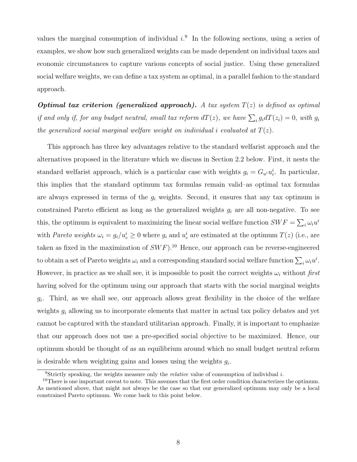values the marginal consumption of individual  $i$ . In the following sections, using a series of examples, we show how such generalized weights can be made dependent on individual taxes and economic circumstances to capture various concepts of social justice. Using these generalized social welfare weights, we can define a tax system as optimal, in a parallel fashion to the standard approach.

**Optimal tax criterion (generalized approach).** A tax system  $T(z)$  is defined as optimal if and only if, for any budget neutral, small tax reform  $dT(z)$ , we have  $\sum_i g_i dT(z_i) = 0$ , with  $g_i$ the generalized social marginal welfare weight on individual i evaluated at  $T(z)$ .

This approach has three key advantages relative to the standard welfarist approach and the alternatives proposed in the literature which we discuss in Section 2.2 below. First, it nests the standard welfarist approach, which is a particular case with weights  $g_i = G_{u_i} u_c^i$ . In particular, this implies that the standard optimum tax formulas remain valid–as optimal tax formulas are always expressed in terms of the  $g_i$  weights. Second, it ensures that any tax optimum is constrained Pareto efficient as long as the generalized weights  $g_i$  are all non-negative. To see this, the optimum is equivalent to maximizing the linear social welfare function  $SWF = \sum_i \omega_i u^i$ with Pareto weights  $\omega_i = g_i/u_c^i \ge 0$  where  $g_i$  and  $u_c^i$  are estimated at the optimum  $T(z)$  (i.e., are taken as fixed in the maximization of  $SWF$ ).<sup>10</sup> Hence, our approach can be reverse-engineered to obtain a set of Pareto weights  $\omega_i$  and a corresponding standard social welfare function  $\sum_i \omega_i u^i$ . However, in practice as we shall see, it is impossible to posit the correct weights  $\omega_i$  without first having solved for the optimum using our approach that starts with the social marginal weights  $g_i$ . Third, as we shall see, our approach allows great flexibility in the choice of the welfare weights  $g_i$  allowing us to incorporate elements that matter in actual tax policy debates and yet cannot be captured with the standard utilitarian approach. Finally, it is important to emphasize that our approach does not use a pre-specified social objective to be maximized. Hence, our optimum should be thought of as an equilibrium around which no small budget neutral reform is desirable when weighting gains and losses using the weights  $g_i$ .

<sup>&</sup>lt;sup>9</sup>Strictly speaking, the weights measure only the *relative* value of consumption of individual  $i$ .

<sup>&</sup>lt;sup>10</sup>There is one important caveat to note. This assumes that the first order condition characterizes the optimum. As mentioned above, that might not always be the case so that our generalized optimum may only be a local constrained Pareto optimum. We come back to this point below.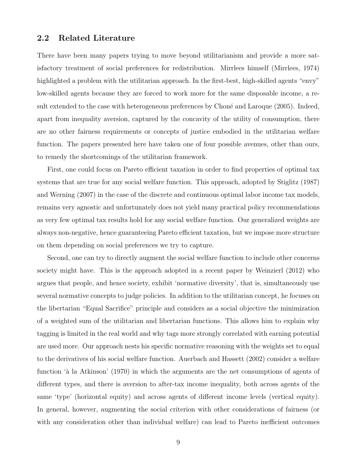#### 2.2 Related Literature

There have been many papers trying to move beyond utilitarianism and provide a more satisfactory treatment of social preferences for redistribution. Mirrlees himself (Mirrlees, 1974) highlighted a problem with the utilitarian approach. In the first-best, high-skilled agents "envy" low-skilled agents because they are forced to work more for the same disposable income, a result extended to the case with heterogeneous preferences by Choné and Laroque (2005). Indeed, apart from inequality aversion, captured by the concavity of the utility of consumption, there are no other fairness requirements or concepts of justice embodied in the utilitarian welfare function. The papers presented here have taken one of four possible avenues, other than ours, to remedy the shortcomings of the utilitarian framework.

First, one could focus on Pareto efficient taxation in order to find properties of optimal tax systems that are true for any social welfare function. This approach, adopted by Stiglitz (1987) and Werning (2007) in the case of the discrete and continuous optimal labor income tax models, remains very agnostic and unfortunately does not yield many practical policy recommendations as very few optimal tax results hold for any social welfare function. Our generalized weights are always non-negative, hence guaranteeing Pareto efficient taxation, but we impose more structure on them depending on social preferences we try to capture.

Second, one can try to directly augment the social welfare function to include other concerns society might have. This is the approach adopted in a recent paper by Weinzierl (2012) who argues that people, and hence society, exhibit 'normative diversity', that is, simultaneously use several normative concepts to judge policies. In addition to the utilitarian concept, he focuses on the libertarian "Equal Sacrifice" principle and considers as a social objective the minimization of a weighted sum of the utilitarian and libertarian functions. This allows him to explain why tagging is limited in the real world and why tags more strongly correlated with earning potential are used more. Our approach nests his specific normative reasoning with the weights set to equal to the derivatives of his social welfare function. Auerbach and Hassett (2002) consider a welfare function 'à la Atkinson' (1970) in which the arguments are the net consumptions of agents of different types, and there is aversion to after-tax income inequality, both across agents of the same 'type' (horizontal equity) and across agents of different income levels (vertical equity). In general, however, augmenting the social criterion with other considerations of fairness (or with any consideration other than individual welfare) can lead to Pareto inefficient outcomes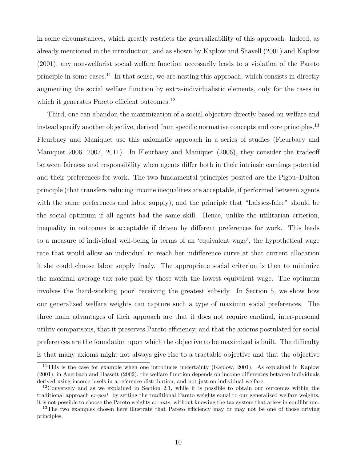in some circumstances, which greatly restricts the generalizability of this approach. Indeed, as already mentioned in the introduction, and as shown by Kaplow and Shavell (2001) and Kaplow (2001), any non-welfarist social welfare function necessarily leads to a violation of the Pareto principle in some cases.<sup>11</sup> In that sense, we are nesting this approach, which consists in directly augmenting the social welfare function by extra-individualistic elements, only for the cases in which it generates Pareto efficient outcomes.<sup>12</sup>

Third, one can abandon the maximization of a social objective directly based on welfare and instead specify another objective, derived from specific normative concepts and core principles.<sup>13</sup> Fleurbaey and Maniquet use this axiomatic approach in a series of studies (Fleurbaey and Maniquet 2006, 2007, 2011). In Fleurbaey and Maniquet (2006), they consider the tradeoff between fairness and responsibility when agents differ both in their intrinsic earnings potential and their preferences for work. The two fundamental principles posited are the Pigou–Dalton principle (that transfers reducing income inequalities are acceptable, if performed between agents with the same preferences and labor supply), and the principle that "Laissez-faire" should be the social optimum if all agents had the same skill. Hence, unlike the utilitarian criterion, inequality in outcomes is acceptable if driven by different preferences for work. This leads to a measure of individual well-being in terms of an 'equivalent wage', the hypothetical wage rate that would allow an individual to reach her indifference curve at that current allocation if she could choose labor supply freely. The appropriate social criterion is then to minimize the maximal average tax rate paid by those with the lowest equivalent wage. The optimum involves the 'hard-working poor' receiving the greatest subsidy. In Section 5, we show how our generalized welfare weights can capture such a type of maximin social preferences. The three main advantages of their approach are that it does not require cardinal, inter-personal utility comparisons, that it preserves Pareto efficiency, and that the axioms postulated for social preferences are the foundation upon which the objective to be maximized is built. The difficulty is that many axioms might not always give rise to a tractable objective and that the objective

<sup>&</sup>lt;sup>11</sup>This is the case for example when one introduces uncertainty (Kaplow, 2001). As explained in Kaplow (2001), in Auerbach and Hassett (2002), the welfare function depends on income differences between individuals derived using income levels in a reference distribution, and not just on individual welfare.

<sup>&</sup>lt;sup>12</sup>Conversely and as we explained in Section 2.1, while it is possible to obtain our outcomes within the traditional approach  $ex\text{-}post$  by setting the traditional Pareto weights equal to our generalized welfare weights, it is not possible to choose the Pareto weights  $ex\text{-}ante$ , without knowing the tax system that arises in equilibrium.

<sup>&</sup>lt;sup>13</sup>The two examples chosen here illustrate that Pareto efficiency may or may not be one of those driving principles.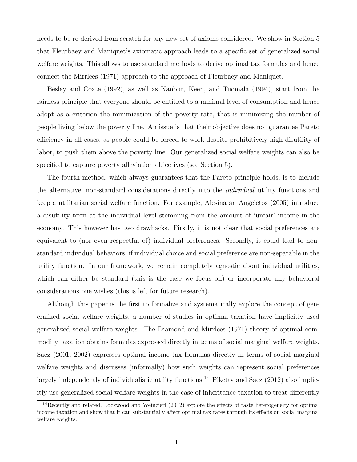needs to be re-derived from scratch for any new set of axioms considered. We show in Section 5 that Fleurbaey and Maniquet's axiomatic approach leads to a specific set of generalized social welfare weights. This allows to use standard methods to derive optimal tax formulas and hence connect the Mirrlees (1971) approach to the approach of Fleurbaey and Maniquet.

Besley and Coate (1992), as well as Kanbur, Keen, and Tuomala (1994), start from the fairness principle that everyone should be entitled to a minimal level of consumption and hence adopt as a criterion the minimization of the poverty rate, that is minimizing the number of people living below the poverty line. An issue is that their objective does not guarantee Pareto efficiency in all cases, as people could be forced to work despite prohibitively high disutility of labor, to push them above the poverty line. Our generalized social welfare weights can also be specified to capture poverty alleviation objectives (see Section 5).

The fourth method, which always guarantees that the Pareto principle holds, is to include the alternative, non-standard considerations directly into the individual utility functions and keep a utilitarian social welfare function. For example, Alesina an Angeletos (2005) introduce a disutility term at the individual level stemming from the amount of 'unfair' income in the economy. This however has two drawbacks. Firstly, it is not clear that social preferences are equivalent to (nor even respectful of) individual preferences. Secondly, it could lead to nonstandard individual behaviors, if individual choice and social preference are non-separable in the utility function. In our framework, we remain completely agnostic about individual utilities, which can either be standard (this is the case we focus on) or incorporate any behavioral considerations one wishes (this is left for future research).

Although this paper is the first to formalize and systematically explore the concept of generalized social welfare weights, a number of studies in optimal taxation have implicitly used generalized social welfare weights. The Diamond and Mirrlees (1971) theory of optimal commodity taxation obtains formulas expressed directly in terms of social marginal welfare weights. Saez (2001, 2002) expresses optimal income tax formulas directly in terms of social marginal welfare weights and discusses (informally) how such weights can represent social preferences largely independently of individualistic utility functions.<sup>14</sup> Piketty and Saez  $(2012)$  also implicitly use generalized social welfare weights in the case of inheritance taxation to treat differently

<sup>14</sup>Recently and related, Lockwood and Weinzierl (2012) explore the effects of taste heterogeneity for optimal income taxation and show that it can substantially affect optimal tax rates through its effects on social marginal welfare weights.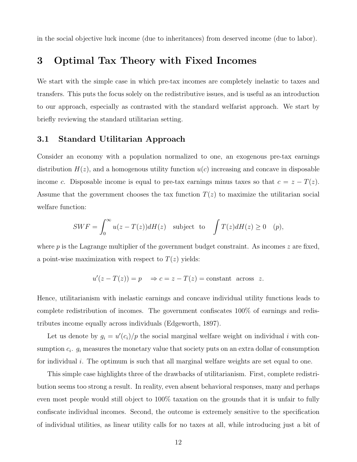in the social objective luck income (due to inheritances) from deserved income (due to labor).

### 3 Optimal Tax Theory with Fixed Incomes

We start with the simple case in which pre-tax incomes are completely inelastic to taxes and transfers. This puts the focus solely on the redistributive issues, and is useful as an introduction to our approach, especially as contrasted with the standard welfarist approach. We start by briefly reviewing the standard utilitarian setting.

### 3.1 Standard Utilitarian Approach

Consider an economy with a population normalized to one, an exogenous pre-tax earnings distribution  $H(z)$ , and a homogenous utility function  $u(c)$  increasing and concave in disposable income c. Disposable income is equal to pre-tax earnings minus taxes so that  $c = z - T(z)$ . Assume that the government chooses the tax function  $T(z)$  to maximize the utilitarian social welfare function:

$$
SWF = \int_0^\infty u(z - T(z))dH(z) \text{ subject to } \int T(z)dH(z) \ge 0 \quad (p),
$$

where  $p$  is the Lagrange multiplier of the government budget constraint. As incomes  $z$  are fixed, a point-wise maximization with respect to  $T(z)$  yields:

$$
u'(z - T(z)) = p \quad \Rightarrow c = z - T(z) = \text{constant across } z.
$$

Hence, utilitarianism with inelastic earnings and concave individual utility functions leads to complete redistribution of incomes. The government confiscates 100% of earnings and redistributes income equally across individuals (Edgeworth, 1897).

Let us denote by  $g_i = u'(c_i)/p$  the social marginal welfare weight on individual i with consumption  $c_i$ .  $g_i$  measures the monetary value that society puts on an extra dollar of consumption for individual  $i$ . The optimum is such that all marginal welfare weights are set equal to one.

This simple case highlights three of the drawbacks of utilitarianism. First, complete redistribution seems too strong a result. In reality, even absent behavioral responses, many and perhaps even most people would still object to 100% taxation on the grounds that it is unfair to fully confiscate individual incomes. Second, the outcome is extremely sensitive to the specification of individual utilities, as linear utility calls for no taxes at all, while introducing just a bit of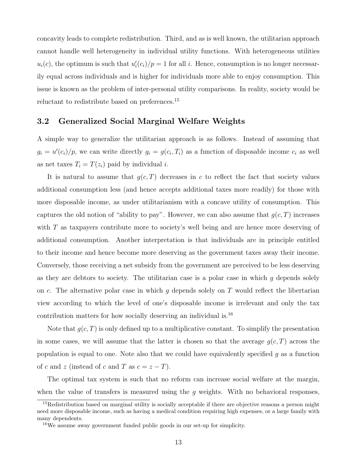concavity leads to complete redistribution. Third, and as is well known, the utilitarian approach cannot handle well heterogeneity in individual utility functions. With heterogeneous utilities  $u_i(c)$ , the optimum is such that  $u'_i(c_i)/p = 1$  for all i. Hence, consumption is no longer necessarily equal across individuals and is higher for individuals more able to enjoy consumption. This issue is known as the problem of inter-personal utility comparisons. In reality, society would be reluctant to redistribute based on preferences.<sup>15</sup>

### 3.2 Generalized Social Marginal Welfare Weights

A simple way to generalize the utilitarian approach is as follows. Instead of assuming that  $g_i = u'(c_i)/p$ , we can write directly  $g_i = g(c_i, T_i)$  as a function of disposable income  $c_i$  as well as net taxes  $T_i = T(z_i)$  paid by individual i.

It is natural to assume that  $q(c,T)$  decreases in c to reflect the fact that society values additional consumption less (and hence accepts additional taxes more readily) for those with more disposable income, as under utilitarianism with a concave utility of consumption. This captures the old notion of "ability to pay". However, we can also assume that  $g(c,T)$  increases with  $T$  as taxpayers contribute more to society's well being and are hence more deserving of additional consumption. Another interpretation is that individuals are in principle entitled to their income and hence become more deserving as the government taxes away their income. Conversely, those receiving a net subsidy from the government are perceived to be less deserving as they are debtors to society. The utilitarian case is a polar case in which  $g$  depends solely on c. The alternative polar case in which q depends solely on T would reflect the libertarian view according to which the level of one's disposable income is irrelevant and only the tax contribution matters for how socially deserving an individual is.<sup>16</sup>

Note that  $g(c, T)$  is only defined up to a multiplicative constant. To simplify the presentation in some cases, we will assume that the latter is chosen so that the average  $g(c, T)$  across the population is equal to one. Note also that we could have equivalently specified  $q$  as a function of c and z (instead of c and T as  $c = z - T$ ).

The optimal tax system is such that no reform can increase social welfare at the margin, when the value of transfers is measured using the  $g$  weights. With no behavioral responses,

<sup>&</sup>lt;sup>15</sup>Redistribution based on marginal utility is socially acceptable if there are objective reasons a person might need more disposable income, such as having a medical condition requiring high expenses, or a large family with many dependents.

<sup>16</sup>We assume away government funded public goods in our set-up for simplicity.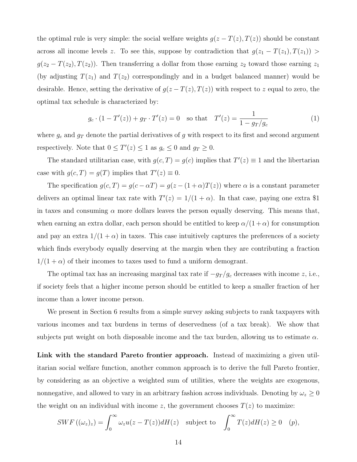the optimal rule is very simple: the social welfare weights  $g(z - T(z), T(z))$  should be constant across all income levels z. To see this, suppose by contradiction that  $g(z_1 - T(z_1), T(z_1))$  >  $g(z_2 - T(z_2), T(z_2))$ . Then transferring a dollar from those earning  $z_2$  toward those earning  $z_1$ (by adjusting  $T(z_1)$  and  $T(z_2)$  correspondingly and in a budget balanced manner) would be desirable. Hence, setting the derivative of  $g(z-T(z),T(z))$  with respect to z equal to zero, the optimal tax schedule is characterized by:

<span id="page-14-0"></span>
$$
g_c \cdot (1 - T'(z)) + g_T \cdot T'(z) = 0 \quad \text{so that} \quad T'(z) = \frac{1}{1 - g_T/g_c} \tag{1}
$$

where  $g_c$  and  $g_T$  denote the partial derivatives of g with respect to its first and second argument respectively. Note that  $0 \leq T'(z) \leq 1$  as  $g_c \leq 0$  and  $g_T \geq 0$ .

The standard utilitarian case, with  $g(c,T) = g(c)$  implies that  $T'(z) \equiv 1$  and the libertarian case with  $g(c,T) = g(T)$  implies that  $T'(z) \equiv 0$ .

The specification  $g(c,T) = g(c - \alpha T) = g(z - (1 + \alpha)T(z))$  where  $\alpha$  is a constant parameter delivers an optimal linear tax rate with  $T'(z) = 1/(1 + \alpha)$ . In that case, paying one extra \$1 in taxes and consuming  $\alpha$  more dollars leaves the person equally deserving. This means that, when earning an extra dollar, each person should be entitled to keep  $\alpha/(1+\alpha)$  for consumption and pay an extra  $1/(1 + \alpha)$  in taxes. This case intuitively captures the preferences of a society which finds everybody equally deserving at the margin when they are contributing a fraction  $1/(1 + \alpha)$  of their incomes to taxes used to fund a uniform demogrant.

The optimal tax has an increasing marginal tax rate if  $-g_T/g_c$  decreases with income z, i.e., if society feels that a higher income person should be entitled to keep a smaller fraction of her income than a lower income person.

We present in Section 6 results from a simple survey asking subjects to rank taxpayers with various incomes and tax burdens in terms of deservedness (of a tax break). We show that subjects put weight on both disposable income and the tax burden, allowing us to estimate  $\alpha$ .

Link with the standard Pareto frontier approach. Instead of maximizing a given utilitarian social welfare function, another common approach is to derive the full Pareto frontier, by considering as an objective a weighted sum of utilities, where the weights are exogenous, nonnegative, and allowed to vary in an arbitrary fashion across individuals. Denoting by  $\omega_z \geq 0$ the weight on an individual with income z, the government chooses  $T(z)$  to maximize:

$$
SWF\left((\omega_z)_z\right) = \int_0^\infty \omega_z u(z - T(z))dH(z) \quad \text{subject to} \quad \int_0^\infty T(z)dH(z) \ge 0 \quad (p),
$$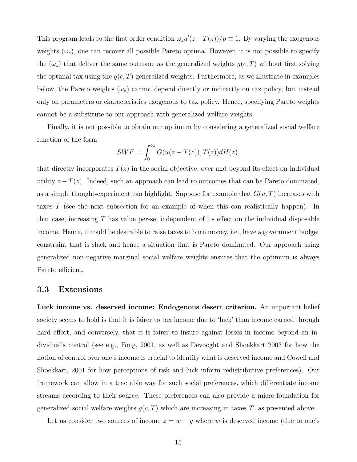This program leads to the first order condition  $\omega_z u'(z-T(z))/p \equiv 1$ . By varying the exogenous weights  $(\omega_z)$ , one can recover all possible Pareto optima. However, it is not possible to specify the  $(\omega_z)$  that deliver the same outcome as the generalized weights  $g(c, T)$  without first solving the optimal tax using the  $g(c, T)$  generalized weights. Furthermore, as we illustrate in examples below, the Pareto weights  $(\omega_z)$  cannot depend directly or indirectly on tax policy, but instead only on parameters or characteristics exogenous to tax policy. Hence, specifying Pareto weights cannot be a substitute to our approach with generalized welfare weights.

Finally, it is not possible to obtain our optimum by considering a generalized social welfare function of the form

$$
SWF = \int_0^\infty G(u(z - T(z)), T(z))dH(z),
$$

that directly incorporates  $T(z)$  in the social objective, over and beyond its effect on individual utility  $z - T(z)$ . Indeed, such an approach can lead to outcomes that can be Pareto dominated, as a simple thought-experiment can highlight. Suppose for example that  $G(u, T)$  increases with taxes T (see the next subsection for an example of when this can realistically happen). In that case, increasing  $T$  has value per-se, independent of its effect on the individual disposable income. Hence, it could be desirable to raise taxes to burn money, i.e., have a government budget constraint that is slack and hence a situation that is Pareto dominated. Our approach using generalized non-negative marginal social welfare weights ensures that the optimum is always Pareto efficient.

### 3.3 Extensions

Luck income vs. deserved income: Endogenous desert criterion. An important belief society seems to hold is that it is fairer to tax income due to 'luck' than income earned through hard effort, and conversely, that it is fairer to insure against losses in income beyond an individual's control (see e.g., Fong, 2001, as well as Devooght and Shoekkart 2003 for how the notion of control over one's income is crucial to identify what is deserved income and Cowell and Shoekkart, 2001 for how perceptions of risk and luck inform redistributive preferences). Our framework can allow in a tractable way for such social preferences, which differentiate income streams according to their source. These preferences can also provide a micro-foundation for generalized social welfare weights  $g(c, T)$  which are increasing in taxes T, as presented above.

Let us consider two sources of income  $z = w + y$  where w is deserved income (due to one's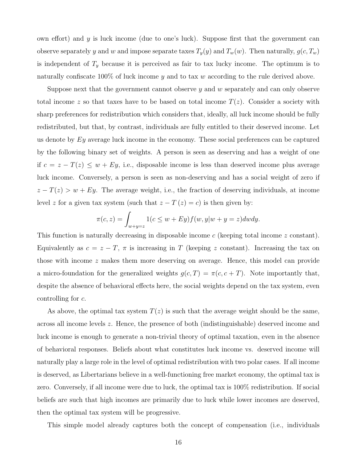own effort) and  $y$  is luck income (due to one's luck). Suppose first that the government can observe separately y and w and impose separate taxes  $T_y(y)$  and  $T_w(w)$ . Then naturally,  $g(c, T_w)$ is independent of  $T_y$  because it is perceived as fair to tax lucky income. The optimum is to naturally confiscate 100% of luck income  $y$  and to tax  $w$  according to the rule derived above.

Suppose next that the government cannot observe  $y$  and  $w$  separately and can only observe total income z so that taxes have to be based on total income  $T(z)$ . Consider a society with sharp preferences for redistribution which considers that, ideally, all luck income should be fully redistributed, but that, by contrast, individuals are fully entitled to their deserved income. Let us denote by  $Ey$  average luck income in the economy. These social preferences can be captured by the following binary set of weights. A person is seen as deserving and has a weight of one if  $c = z - T(z) \leq w + Ey$ , i.e., disposable income is less than deserved income plus average luck income. Conversely, a person is seen as non-deserving and has a social weight of zero if  $z - T(z) > w + Ey$ . The average weight, i.e., the fraction of deserving individuals, at income level z for a given tax system (such that  $z - T(z) = c$ ) is then given by:

$$
\pi(c, z) = \int_{w+y=z} 1(c \le w + Ey) f(w, y|w + y = z) dw dy.
$$

This function is naturally decreasing in disposable income c (keeping total income z constant). Equivalently as  $c = z - T$ ,  $\pi$  is increasing in T (keeping z constant). Increasing the tax on those with income z makes them more deserving on average. Hence, this model can provide a micro-foundation for the generalized weights  $g(c,T) = \pi(c, c+T)$ . Note importantly that, despite the absence of behavioral effects here, the social weights depend on the tax system, even controlling for c.

As above, the optimal tax system  $T(z)$  is such that the average weight should be the same, across all income levels z. Hence, the presence of both (indistinguishable) deserved income and luck income is enough to generate a non-trivial theory of optimal taxation, even in the absence of behavioral responses. Beliefs about what constitutes luck income vs. deserved income will naturally play a large role in the level of optimal redistribution with two polar cases. If all income is deserved, as Libertarians believe in a well-functioning free market economy, the optimal tax is zero. Conversely, if all income were due to luck, the optimal tax is 100% redistribution. If social beliefs are such that high incomes are primarily due to luck while lower incomes are deserved, then the optimal tax system will be progressive.

This simple model already captures both the concept of compensation (i.e., individuals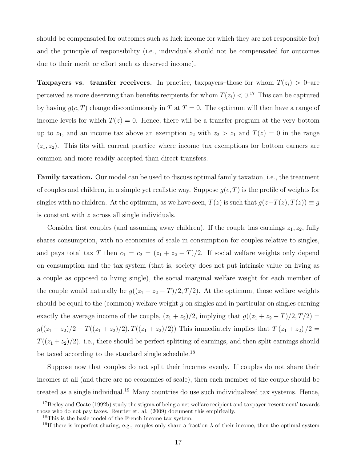should be compensated for outcomes such as luck income for which they are not responsible for) and the principle of responsibility (i.e., individuals should not be compensated for outcomes due to their merit or effort such as deserved income).

**Taxpayers vs. transfer receivers.** In practice, taxpayers–those for whom  $T(z_i) > 0$ –are perceived as more deserving than benefits recipients for whom  $T(z_i) < 0.^{17}$  This can be captured by having  $g(c, T)$  change discontinuously in T at  $T = 0$ . The optimum will then have a range of income levels for which  $T(z) = 0$ . Hence, there will be a transfer program at the very bottom up to  $z_1$ , and an income tax above an exemption  $z_2$  with  $z_2 > z_1$  and  $T(z) = 0$  in the range  $(z_1, z_2)$ . This fits with current practice where income tax exemptions for bottom earners are common and more readily accepted than direct transfers.

Family taxation. Our model can be used to discuss optimal family taxation, i.e., the treatment of couples and children, in a simple yet realistic way. Suppose  $g(c, T)$  is the profile of weights for singles with no children. At the optimum, as we have seen,  $T(z)$  is such that  $g(z-T(z), T(z)) \equiv g$ is constant with z across all single individuals.

Consider first couples (and assuming away children). If the couple has earnings  $z_1, z_2$ , fully shares consumption, with no economies of scale in consumption for couples relative to singles, and pays total tax T then  $c_1 = c_2 = (z_1 + z_2 - T)/2$ . If social welfare weights only depend on consumption and the tax system (that is, society does not put intrinsic value on living as a couple as opposed to living single), the social marginal welfare weight for each member of the couple would naturally be  $g((z_1 + z_2 - T)/2, T/2)$ . At the optimum, those welfare weights should be equal to the (common) welfare weight  $g$  on singles and in particular on singles earning exactly the average income of the couple,  $(z_1 + z_2)/2$ , implying that  $g((z_1 + z_2 - T)/2, T/2) =$  $g((z_1 + z_2)/2 - T((z_1 + z_2)/2), T((z_1 + z_2)/2))$  This immediately implies that  $T(z_1 + z_2)/2 =$  $T((z_1 + z_2)/2)$ . i.e., there should be perfect splitting of earnings, and then split earnings should be taxed according to the standard single schedule.<sup>18</sup>

Suppose now that couples do not split their incomes evenly. If couples do not share their incomes at all (and there are no economies of scale), then each member of the couple should be treated as a single individual.<sup>19</sup> Many countries do use such individualized tax systems. Hence,

<sup>&</sup>lt;sup>17</sup>Besley and Coate (1992b) study the stigma of being a net welfare recipient and taxpayer 'resentment' towards those who do not pay taxes. Reutter et. al. (2009) document this empirically.

<sup>18</sup>This is the basic model of the French income tax system.

<sup>&</sup>lt;sup>19</sup>If there is imperfect sharing, e.g., couples only share a fraction  $\lambda$  of their income, then the optimal system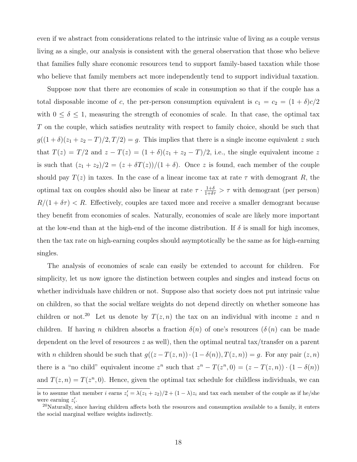even if we abstract from considerations related to the intrinsic value of living as a couple versus living as a single, our analysis is consistent with the general observation that those who believe that families fully share economic resources tend to support family-based taxation while those who believe that family members act more independently tend to support individual taxation.

Suppose now that there are economies of scale in consumption so that if the couple has a total disposable income of c, the per-person consumption equivalent is  $c_1 = c_2 = (1 + \delta)c/2$ with  $0 \le \delta \le 1$ , measuring the strength of economies of scale. In that case, the optimal tax T on the couple, which satisfies neutrality with respect to family choice, should be such that  $g((1 + \delta)(z_1 + z_2 - T)/2, T/2) = g$ . This implies that there is a single income equivalent z such that  $T(z) = T/2$  and  $z - T(z) = (1 + \delta)(z_1 + z_2 - T)/2$ , i.e., the single equivalent income z is such that  $(z_1 + z_2)/2 = (z + \delta T(z))/(1 + \delta)$ . Once z is found, each member of the couple should pay  $T(z)$  in taxes. In the case of a linear income tax at rate  $\tau$  with demogrant R, the optimal tax on couples should also be linear at rate  $\tau \cdot \frac{1+\delta}{1+\delta\tau} > \tau$  with demogrant (per person)  $R/(1 + \delta \tau) < R$ . Effectively, couples are taxed more and receive a smaller demogrant because they benefit from economies of scales. Naturally, economies of scale are likely more important at the low-end than at the high-end of the income distribution. If  $\delta$  is small for high incomes, then the tax rate on high-earning couples should asymptotically be the same as for high-earning singles.

The analysis of economies of scale can easily be extended to account for children. For simplicity, let us now ignore the distinction between couples and singles and instead focus on whether individuals have children or not. Suppose also that society does not put intrinsic value on children, so that the social welfare weights do not depend directly on whether someone has children or not.<sup>20</sup> Let us denote by  $T(z, n)$  the tax on an individual with income z and n children. If having n children absorbs a fraction  $\delta(n)$  of one's resources  $(\delta(n))$  can be made dependent on the level of resources  $z$  as well), then the optimal neutral tax/transfer on a parent with *n* children should be such that  $g((z-T(z,n))\cdot(1-\delta(n)), T(z,n))=g$ . For any pair  $(z,n)$ there is a "no child" equivalent income  $z^n$  such that  $z^n - T(z^n, 0) = (z - T(z, n)) \cdot (1 - \delta(n))$ and  $T(z, n) = T(z<sup>n</sup>, 0)$ . Hence, given the optimal tax schedule for childless individuals, we can

is to assume that member i earns  $z_i' = \lambda(z_1 + z_2)/2 + (1 - \lambda)z_i$  and tax each member of the couple as if he/she were earning  $z_i'$ .

<sup>&</sup>lt;sup>20</sup>Naturally, since having children affects both the resources and consumption available to a family, it enters the social marginal welfare weights indirectly.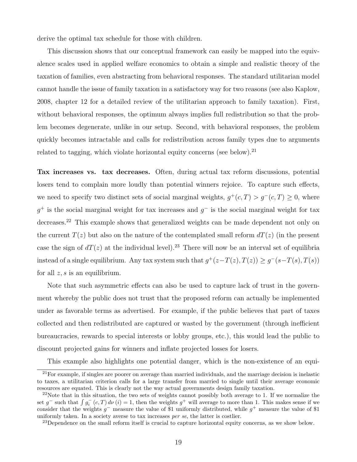derive the optimal tax schedule for those with children.

This discussion shows that our conceptual framework can easily be mapped into the equivalence scales used in applied welfare economics to obtain a simple and realistic theory of the taxation of families, even abstracting from behavioral responses. The standard utilitarian model cannot handle the issue of family taxation in a satisfactory way for two reasons (see also Kaplow, 2008, chapter 12 for a detailed review of the utilitarian approach to family taxation). First, without behavioral responses, the optimum always implies full redistribution so that the problem becomes degenerate, unlike in our setup. Second, with behavioral responses, the problem quickly becomes intractable and calls for redistribution across family types due to arguments related to tagging, which violate horizontal equity concerns (see below).<sup>21</sup>

Tax increases vs. tax decreases. Often, during actual tax reform discussions, potential losers tend to complain more loudly than potential winners rejoice. To capture such effects, we need to specify two distinct sets of social marginal weights,  $g^+(c,T) > g^-(c,T) \geq 0$ , where  $g^+$  is the social marginal weight for tax increases and  $g^-$  is the social marginal weight for tax decreases.<sup>22</sup> This example shows that generalized weights can be made dependent not only on the current  $T(z)$  but also on the nature of the contemplated small reform  $dT(z)$  (in the present case the sign of  $dT(z)$  at the individual level).<sup>23</sup> There will now be an interval set of equilibria instead of a single equilibrium. Any tax system such that  $g^+(z-T(z),T(z)) \ge g^-(s-T(s),T(s))$ for all  $z, s$  is an equilibrium.

Note that such asymmetric effects can also be used to capture lack of trust in the government whereby the public does not trust that the proposed reform can actually be implemented under as favorable terms as advertised. For example, if the public believes that part of taxes collected and then redistributed are captured or wasted by the government (through inefficient bureaucracies, rewards to special interests or lobby groups, etc.), this would lead the public to discount projected gains for winners and inflate projected losses for losers.

This example also highlights one potential danger, which is the non-existence of an equi-

 $21$ For example, if singles are poorer on average than married individuals, and the marriage decision is inelastic to taxes, a utilitarian criterion calls for a large transfer from married to single until their average economic resources are equated. This is clearly not the way actual governments design family taxation.

<sup>&</sup>lt;sup>22</sup>Note that in this situation, the two sets of weights cannot possibly both average to 1. If we normalize the set  $g^-$  such that  $\int g_i^-(c,T) d\nu(i) = 1$ , then the weights  $g^+$  will average to more than 1. This makes sense if we consider that the weights  $g^-$  measure the value of \$1 uniformly distributed, while  $g^+$  measure the value of \$1 uniformly taken. In a society averse to tax increases per se, the latter is costlier.

<sup>&</sup>lt;sup>23</sup>Dependence on the small reform itself is crucial to capture horizontal equity concerns, as we show below.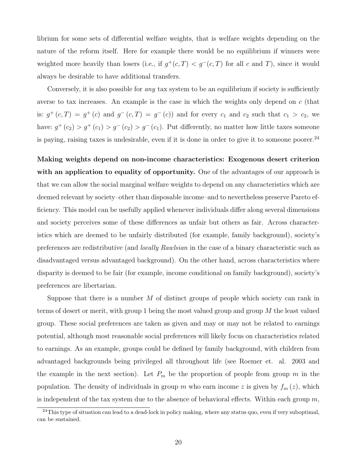librium for some sets of differential welfare weights, that is welfare weights depending on the nature of the reform itself. Here for example there would be no equilibrium if winners were weighted more heavily than losers (i.e., if  $g^+(c,T) < g^-(c,T)$  for all c and T), since it would always be desirable to have additional transfers.

Conversely, it is also possible for *any* tax system to be an equilibrium if society is sufficiently averse to tax increases. An example is the case in which the weights only depend on c (that is:  $g^+(c,T) = g^+(c)$  and  $g^-(c,T) = g^-(c)$  and for every  $c_1$  and  $c_2$  such that  $c_1 > c_2$ , we have:  $g^+(c_2) > g^+(c_1) > g^-(c_2) > g^-(c_1)$ . Put differently, no matter how little taxes someone is paying, raising taxes is undesirable, even if it is done in order to give it to someone poorer.<sup>24</sup>

Making weights depend on non-income characteristics: Exogenous desert criterion with an application to equality of opportunity. One of the advantages of our approach is that we can allow the social marginal welfare weights to depend on any characteristics which are deemed relevant by society–other than disposable income–and to nevertheless preserve Pareto efficiency. This model can be usefully applied whenever individuals differ along several dimensions and society perceives some of these differences as unfair but others as fair. Across characteristics which are deemed to be unfairly distributed (for example, family background), society's preferences are redistributive (and locally Rawlsian in the case of a binary characteristic such as disadvantaged versus advantaged background). On the other hand, across characteristics where disparity is deemed to be fair (for example, income conditional on family background), society's preferences are libertarian.

Suppose that there is a number M of distinct groups of people which society can rank in terms of desert or merit, with group 1 being the most valued group and group  $M$  the least valued group. These social preferences are taken as given and may or may not be related to earnings potential, although most reasonable social preferences will likely focus on characteristics related to earnings. As an example, groups could be defined by family background, with children from advantaged backgrounds being privileged all throughout life (see Roemer et. al. 2003 and the example in the next section). Let  $P_m$  be the proportion of people from group m in the population. The density of individuals in group m who earn income z is given by  $f_m(z)$ , which is independent of the tax system due to the absence of behavioral effects. Within each group  $m$ ,

 $^{24}$ This type of situation can lead to a dead-lock in policy making, where any status quo, even if very suboptimal, can be sustained.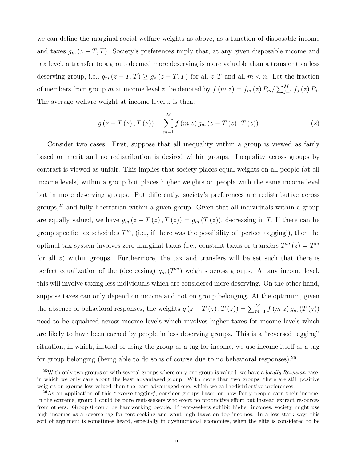we can define the marginal social welfare weights as above, as a function of disposable income and taxes  $g_m(z-T,T)$ . Society's preferences imply that, at any given disposable income and tax level, a transfer to a group deemed more deserving is more valuable than a transfer to a less deserving group, i.e.,  $g_m(z-T,T) \ge g_n(z-T,T)$  for all  $z,T$  and all  $m < n$ . Let the fraction of members from group m at income level z, be denoted by  $f(m|z) = f_m(z) P_m / \sum_{j=1}^M f_j(z) P_j$ . The average welfare weight at income level z is then:

<span id="page-21-0"></span>
$$
g(z - T(z), T(z)) = \sum_{m=1}^{M} f(m|z) g_m(z - T(z), T(z))
$$
\n(2)

Consider two cases. First, suppose that all inequality within a group is viewed as fairly based on merit and no redistribution is desired within groups. Inequality across groups by contrast is viewed as unfair. This implies that society places equal weights on all people (at all income levels) within a group but places higher weights on people with the same income level but in more deserving groups. Put differently, society's preferences are redistributive across groups,<sup>25</sup> and fully libertarian within a given group. Given that all individuals within a group are equally valued, we have  $g_m(z-T(z),T(z))=g_m(T(z))$ , decreasing in T. If there can be group specific tax schedules  $T^m$ , (i.e., if there was the possibility of 'perfect tagging'), then the optimal tax system involves zero marginal taxes (i.e., constant taxes or transfers  $T^m(z) = T^m$ for all  $z$ ) within groups. Furthermore, the tax and transfers will be set such that there is perfect equalization of the (decreasing)  $g_m(T^m)$  weights across groups. At any income level, this will involve taxing less individuals which are considered more deserving. On the other hand, suppose taxes can only depend on income and not on group belonging. At the optimum, given the absence of behavioral responses, the weights  $g(z-T(z),T(z)) = \sum_{m=1}^{M} f(m|z) g_m(T(z))$ need to be equalized across income levels which involves higher taxes for income levels which are likely to have been earned by people in less deserving groups. This is a "reversed tagging" situation, in which, instead of using the group as a tag for income, we use income itself as a tag for group belonging (being able to do so is of course due to no behavioral responses).<sup>26</sup>

 $^{25}$ With only two groups or with several groups where only one group is valued, we have a *locally Rawlsian* case, in which we only care about the least advantaged group. With more than two groups, there are still positive weights on groups less valued than the least advantaged one, which we call redistributive preferences.

<sup>&</sup>lt;sup>26</sup>As an application of this 'reverse tagging', consider groups based on how fairly people earn their income. In the extreme, group 1 could be pure rent-seekers who exert no productive effort but instead extract resources from others. Group 0 could be hardworking people. If rent-seekers exhibit higher incomes, society might use high incomes as a reverse tag for rent-seeking and want high taxes on top incomes. In a less stark way, this sort of argument is sometimes heard, especially in dysfunctional economies, when the elite is considered to be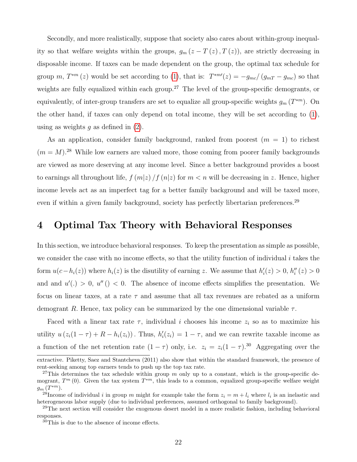Secondly, and more realistically, suppose that society also cares about within-group inequality so that welfare weights within the groups,  $g_m(z-T(z),T(z))$ , are strictly decreasing in disposable income. If taxes can be made dependent on the group, the optimal tax schedule for group m,  $T^{*m}(z)$  would be set according to [\(1\)](#page-14-0), that is:  $T^{*m'}(z) = -g_{mc}/(g_{mT} - g_{mc})$  so that weights are fully equalized within each group.<sup>27</sup> The level of the group-specific demogrants, or equivalently, of inter-group transfers are set to equalize all group-specific weights  $g_m(T^{*m})$ . On the other hand, if taxes can only depend on total income, they will be set according to [\(1\)](#page-14-0), using as weights q as defined in  $(2)$ .

As an application, consider family background, ranked from poorest  $(m = 1)$  to richest  $(m = M)^{28}$  While low earners are valued more, those coming from poorer family backgrounds are viewed as more deserving at any income level. Since a better background provides a boost to earnings all throughout life,  $f(m|z)/f(n|z)$  for  $m < n$  will be decreasing in z. Hence, higher income levels act as an imperfect tag for a better family background and will be taxed more, even if within a given family background, society has perfectly libertarian preferences.<sup>29</sup>

### 4 Optimal Tax Theory with Behavioral Responses

In this section, we introduce behavioral responses. To keep the presentation as simple as possible, we consider the case with no income effects, so that the utility function of individual  $i$  takes the form  $u(c-h_i(z))$  where  $h_i(z)$  is the disutility of earning z. We assume that  $h'_i(z) > 0$ ,  $h''_i(z) > 0$ and and  $u'$ ,  $> 0$ ,  $u''$  ( $> 0$ . The absence of income effects simplifies the presentation. We focus on linear taxes, at a rate  $\tau$  and assume that all tax revenues are rebated as a uniform demogrant R. Hence, tax policy can be summarized by the one dimensional variable  $\tau$ .

Faced with a linear tax rate  $\tau$ , individual i chooses his income  $z_i$  so as to maximize his utility  $u(z_i(1-\tau) + R - h_i(z_i))$ . Thus,  $h'_i(z_i) = 1 - \tau$ , and we can rewrite taxable income as a function of the net retention rate  $(1 - \tau)$  only, i.e.  $z_i = z_i(1 - \tau)$ .<sup>30</sup> Aggregating over the

extractive. Piketty, Saez and Stantcheva (2011) also show that within the standard framework, the presence of rent-seeking among top earners tends to push up the top tax rate.

<sup>&</sup>lt;sup>27</sup>This determines the tax schedule within group m only up to a constant, which is the group-specific demogrant,  $T^m$  (0). Given the tax system  $T^{*m}$ , this leads to a common, equalized group-specific welfare weight  $g_m(T^{*m}).$ 

<sup>&</sup>lt;sup>28</sup>Income of individual *i* in group m might for example take the form  $z_i = m + l_i$  where  $l_i$  is an inelastic and heterogeneous labor supply (due to individual preferences, assumed orthogonal to family background).

<sup>&</sup>lt;sup>29</sup>The next section will consider the exogenous desert model in a more realistic fashion, including behavioral responses.

<sup>30</sup>This is due to the absence of income effects.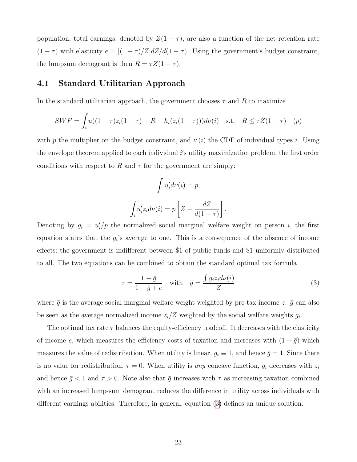population, total earnings, denoted by  $Z(1 - \tau)$ , are also a function of the net retention rate  $(1 - \tau)$  with elasticity  $e = [(1 - \tau)/Z]dZ/d(1 - \tau)$ . Using the government's budget constraint, the lumpsum demogrant is then  $R = \tau Z(1 - \tau)$ .

### 4.1 Standard Utilitarian Approach

In the standard utilitarian approach, the government chooses  $\tau$  and R to maximize

$$
SWF = \int_{i} u((1-\tau)z_i(1-\tau) + R - h_i(z_i(1-\tau)))d\nu(i) \text{ s.t. } R \le \tau Z(1-\tau) \quad (p)
$$

with p the multiplier on the budget constraint, and  $\nu(i)$  the CDF of individual types i. Using the envelope theorem applied to each individual  $i$ 's utility maximization problem, the first order conditions with respect to R and  $\tau$  for the government are simply:

$$
\int u'_i d\nu(i) = p,
$$
  

$$
\int_i u'_i z_i d\nu(i) = p \left[ Z - \frac{dZ}{d(1-\tau)} \right]
$$

Denoting by  $g_i = u'_i/p$  the normalized social marginal welfare weight on person i, the first equation states that the  $g_i$ 's average to one. This is a consequence of the absence of income effects: the government is indifferent between \$1 of public funds and \$1 uniformly distributed to all. The two equations can be combined to obtain the standard optimal tax formula

<span id="page-23-0"></span>
$$
\tau = \frac{1 - \bar{g}}{1 - \bar{g} + e} \quad \text{with} \quad \bar{g} = \frac{\int g_i z_i d\nu(i)}{Z} \tag{3}
$$

.

where  $\bar{g}$  is the average social marginal welfare weight weighted by pre-tax income z.  $\bar{g}$  can also be seen as the average normalized income  $z_i/Z$  weighted by the social welfare weights  $g_i$ .

The optimal tax rate  $\tau$  balances the equity-efficiency tradeoff. It decreases with the elasticity of income e, which measures the efficiency costs of taxation and increases with  $(1 - \bar{g})$  which measures the value of redistribution. When utility is linear,  $g_i \equiv 1$ , and hence  $\bar{g} = 1$ . Since there is no value for redistribution,  $\tau = 0$ . When utility is any concave function,  $g_i$  decreases with  $z_i$ and hence  $\bar{g}$  < 1 and  $\tau > 0$ . Note also that  $\bar{g}$  increases with  $\tau$  as increasing taxation combined with an increased lump-sum demogrant reduces the difference in utility across individuals with different earnings abilities. Therefore, in general, equation [\(3\)](#page-23-0) defines an unique solution.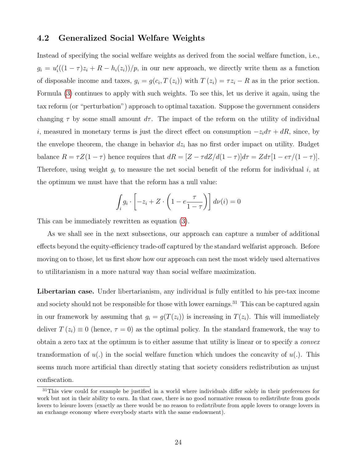### 4.2 Generalized Social Welfare Weights

Instead of specifying the social welfare weights as derived from the social welfare function, i.e.,  $g_i = u'_i((1 - \tau)z_i + R - h_i(z_i))/p$ , in our new approach, we directly write them as a function of disposable income and taxes,  $g_i = g(c_i, T(z_i))$  with  $T(z_i) = \tau z_i - R$  as in the prior section. Formula [\(3\)](#page-23-0) continues to apply with such weights. To see this, let us derive it again, using the tax reform (or "perturbation") approach to optimal taxation. Suppose the government considers changing  $\tau$  by some small amount  $d\tau$ . The impact of the reform on the utility of individual i, measured in monetary terms is just the direct effect on consumption  $-z_i d\tau + dR$ , since, by the envelope theorem, the change in behavior  $dz<sub>i</sub>$  has no first order impact on utility. Budget balance  $R = \tau Z(1 - \tau)$  hence requires that  $dR = [Z - \tau dZ/d(1 - \tau)]d\tau = Zd\tau[1 - e\tau/(1 - \tau)].$ Therefore, using weight  $g_i$  to measure the net social benefit of the reform for individual i, at the optimum we must have that the reform has a null value:

$$
\int_{i} g_i \cdot \left[ -z_i + Z \cdot \left( 1 - e \frac{\tau}{1 - \tau} \right) \right] d\nu(i) = 0
$$

This can be immediately rewritten as equation [\(3\)](#page-23-0).

As we shall see in the next subsections, our approach can capture a number of additional effects beyond the equity-efficiency trade-off captured by the standard welfarist approach. Before moving on to those, let us first show how our approach can nest the most widely used alternatives to utilitarianism in a more natural way than social welfare maximization.

Libertarian case. Under libertarianism, any individual is fully entitled to his pre-tax income and society should not be responsible for those with lower earnings.<sup>31</sup> This can be captured again in our framework by assuming that  $g_i = g(T(z_i))$  is increasing in  $T(z_i)$ . This will immediately deliver  $T(z_i) \equiv 0$  (hence,  $\tau = 0$ ) as the optimal policy. In the standard framework, the way to obtain a zero tax at the optimum is to either assume that utility is linear or to specify a convex transformation of  $u(.)$  in the social welfare function which undoes the concavity of  $u(.)$ . This seems much more artificial than directly stating that society considers redistribution as unjust confiscation.

<sup>&</sup>lt;sup>31</sup>This view could for example be justified in a world where individuals differ solely in their preferences for work but not in their ability to earn. In that case, there is no good normative reason to redistribute from goods lovers to leisure lovers (exactly as there would be no reason to redistribute from apple lovers to orange lovers in an exchange economy where everybody starts with the same endowment).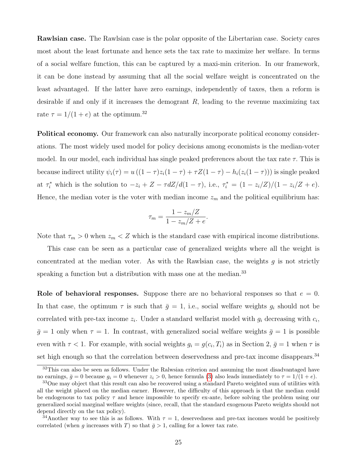Rawlsian case. The Rawlsian case is the polar opposite of the Libertarian case. Society cares most about the least fortunate and hence sets the tax rate to maximize her welfare. In terms of a social welfare function, this can be captured by a maxi-min criterion. In our framework, it can be done instead by assuming that all the social welfare weight is concentrated on the least advantaged. If the latter have zero earnings, independently of taxes, then a reform is desirable if and only if it increases the demogrant  $R$ , leading to the revenue maximizing tax rate  $\tau = 1/(1+e)$  at the optimum.<sup>32</sup>

Political economy. Our framework can also naturally incorporate political economy considerations. The most widely used model for policy decisions among economists is the median-voter model. In our model, each individual has single peaked preferences about the tax rate  $\tau$ . This is because indirect utility  $\psi_i(\tau) = u((1 - \tau)z_i(1 - \tau) + \tau Z(1 - \tau) - h_i(z_i(1 - \tau)))$  is single peaked at  $\tau_i^*$  which is the solution to  $-z_i + Z - \tau dZ/d(1-\tau)$ , i.e.,  $\tau_i^* = (1 - z_i/Z)/(1 - z_i/Z + e)$ . Hence, the median voter is the voter with median income  $z_m$  and the political equilibrium has:

$$
\tau_m = \frac{1 - z_m/Z}{1 - z_m/Z + e}.
$$

Note that  $\tau_m > 0$  when  $z_m < Z$  which is the standard case with empirical income distributions.

This case can be seen as a particular case of generalized weights where all the weight is concentrated at the median voter. As with the Rawlsian case, the weights  $g$  is not strictly speaking a function but a distribution with mass one at the median.<sup>33</sup>

Role of behavioral responses. Suppose there are no behavioral responses so that  $e = 0$ . In that case, the optimum  $\tau$  is such that  $\bar{g} = 1$ , i.e., social welfare weights  $g_i$  should not be correlated with pre-tax income  $z_i$ . Under a standard welfarist model with  $g_i$  decreasing with  $c_i$ ,  $\bar{g} = 1$  only when  $\tau = 1$ . In contrast, with generalized social welfare weights  $\bar{g} = 1$  is possible even with  $\tau < 1$ . For example, with social weights  $g_i = g(c_i, T_i)$  as in Section 2,  $\bar{g} = 1$  when  $\tau$  is set high enough so that the correlation between deservedness and pre-tax income disappears.<sup>34</sup>

<sup>&</sup>lt;sup>32</sup>This can also be seen as follows. Under the Ralwsian criterion and assuming the most disadvantaged have no earnings,  $\bar{g} = 0$  because  $g_i = 0$  whenever  $z_i > 0$ , hence formula [\(3\)](#page-23-0) also leads immediately to  $\tau = 1/(1 + e)$ .

<sup>&</sup>lt;sup>33</sup>One may object that this result can also be recovered using a standard Pareto weighted sum of utilities with all the weight placed on the median earner. However, the difficulty of this approach is that the median could be endogenous to tax policy  $\tau$  and hence impossible to specify ex-ante, before solving the problem using our generalized social marginal welfare weights (since, recall, that the standard exogenous Pareto weights should not depend directly on the tax policy).

<sup>&</sup>lt;sup>34</sup>Another way to see this is as follows. With  $\tau = 1$ , deservedness and pre-tax incomes would be positively correlated (when g increases with T) so that  $\bar{g} > 1$ , calling for a lower tax rate.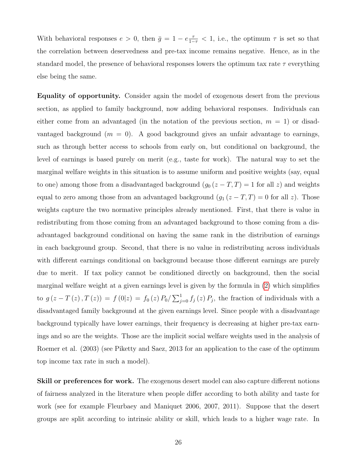With behavioral responses  $e > 0$ , then  $\bar{g} = 1 - e \frac{\tau}{1-\tau} < 1$ , i.e., the optimum  $\tau$  is set so that the correlation between deservedness and pre-tax income remains negative. Hence, as in the standard model, the presence of behavioral responses lowers the optimum tax rate  $\tau$  everything else being the same.

Equality of opportunity. Consider again the model of exogenous desert from the previous section, as applied to family background, now adding behavioral responses. Individuals can either come from an advantaged (in the notation of the previous section,  $m = 1$ ) or disadvantaged background  $(m = 0)$ . A good background gives an unfair advantage to earnings, such as through better access to schools from early on, but conditional on background, the level of earnings is based purely on merit (e.g., taste for work). The natural way to set the marginal welfare weights in this situation is to assume uniform and positive weights (say, equal to one) among those from a disadvantaged background  $(g_0 (z - T, T) = 1$  for all z) and weights equal to zero among those from an advantaged background  $(g_1 (z - T, T) = 0$  for all z). Those weights capture the two normative principles already mentioned. First, that there is value in redistributing from those coming from an advantaged background to those coming from a disadvantaged background conditional on having the same rank in the distribution of earnings in each background group. Second, that there is no value in redistributing across individuals with different earnings conditional on background because those different earnings are purely due to merit. If tax policy cannot be conditioned directly on background, then the social marginal welfare weight at a given earnings level is given by the formula in [\(2\)](#page-21-0) which simplifies to  $g(z-T(z),T(z)) = f(0|z) = f_0(z) P_0/\sum_{j=0}^{1} f_j(z) P_j$ , the fraction of individuals with a disadvantaged family background at the given earnings level. Since people with a disadvantage background typically have lower earnings, their frequency is decreasing at higher pre-tax earnings and so are the weights. Those are the implicit social welfare weights used in the analysis of Roemer et al. (2003) (see Piketty and Saez, 2013 for an application to the case of the optimum top income tax rate in such a model).

Skill or preferences for work. The exogenous desert model can also capture different notions of fairness analyzed in the literature when people differ according to both ability and taste for work (see for example Fleurbaey and Maniquet 2006, 2007, 2011). Suppose that the desert groups are split according to intrinsic ability or skill, which leads to a higher wage rate. In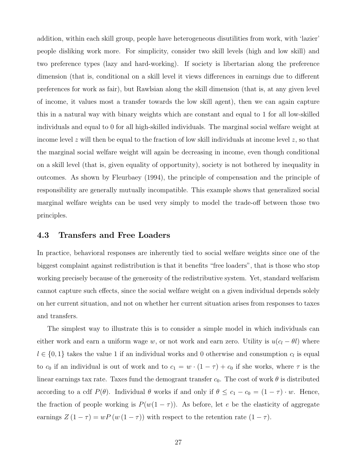addition, within each skill group, people have heterogeneous disutilities from work, with 'lazier' people disliking work more. For simplicity, consider two skill levels (high and low skill) and two preference types (lazy and hard-working). If society is libertarian along the preference dimension (that is, conditional on a skill level it views differences in earnings due to different preferences for work as fair), but Rawlsian along the skill dimension (that is, at any given level of income, it values most a transfer towards the low skill agent), then we can again capture this in a natural way with binary weights which are constant and equal to 1 for all low-skilled individuals and equal to 0 for all high-skilled individuals. The marginal social welfare weight at income level z will then be equal to the fraction of low skill individuals at income level z, so that the marginal social welfare weight will again be decreasing in income, even though conditional on a skill level (that is, given equality of opportunity), society is not bothered by inequality in outcomes. As shown by Fleurbaey (1994), the principle of compensation and the principle of responsibility are generally mutually incompatible. This example shows that generalized social marginal welfare weights can be used very simply to model the trade-off between those two principles.

#### 4.3 Transfers and Free Loaders

In practice, behavioral responses are inherently tied to social welfare weights since one of the biggest complaint against redistribution is that it benefits "free loaders", that is those who stop working precisely because of the generosity of the redistributive system. Yet, standard welfarism cannot capture such effects, since the social welfare weight on a given individual depends solely on her current situation, and not on whether her current situation arises from responses to taxes and transfers.

The simplest way to illustrate this is to consider a simple model in which individuals can either work and earn a uniform wage w, or not work and earn zero. Utility is  $u(c_l - \theta l)$  where  $l \in \{0,1\}$  takes the value 1 if an individual works and 0 otherwise and consumption  $c_l$  is equal to  $c_0$  if an individual is out of work and to  $c_1 = w \cdot (1 - \tau) + c_0$  if she works, where  $\tau$  is the linear earnings tax rate. Taxes fund the demogrant transfer  $c_0$ . The cost of work  $\theta$  is distributed according to a cdf  $P(\theta)$ . Individual  $\theta$  works if and only if  $\theta \le c_1 - c_0 = (1 - \tau) \cdot w$ . Hence, the fraction of people working is  $P(w(1 - \tau))$ . As before, let e be the elasticity of aggregate earnings  $Z(1 - \tau) = wP(w(1 - \tau))$  with respect to the retention rate  $(1 - \tau)$ .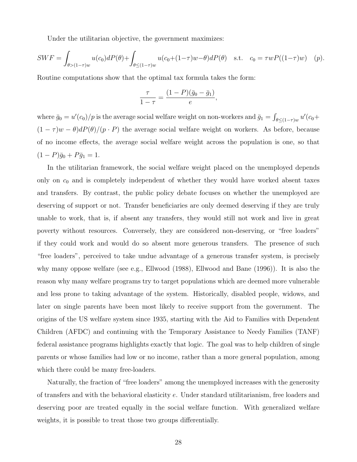Under the utilitarian objective, the government maximizes:

$$
SWF = \int_{\theta > (1-\tau)w} u(c_0)dP(\theta) + \int_{\theta \le (1-\tau)w} u(c_0+(1-\tau)w-\theta)dP(\theta) \quad \text{s.t.} \quad c_0 = \tau w P((1-\tau)w) \quad (p).
$$

Routine computations show that the optimal tax formula takes the form:

$$
\frac{\tau}{1-\tau} = \frac{(1-P)(\bar{g}_0 - \bar{g}_1)}{e},
$$

where  $\bar{g}_0 = u'(c_0)/p$  is the average social welfare weight on non-workers and  $\bar{g}_1 = \int_{\theta \leq (1-\tau)w} u'(c_0+\tau)$  $(1 - \tau)w - \theta dP(\theta)/(p \cdot P)$  the average social welfare weight on workers. As before, because of no income effects, the average social welfare weight across the population is one, so that  $(1 - P)\bar{g}_0 + P\bar{g}_1 = 1.$ 

In the utilitarian framework, the social welfare weight placed on the unemployed depends only on  $c_0$  and is completely independent of whether they would have worked absent taxes and transfers. By contrast, the public policy debate focuses on whether the unemployed are deserving of support or not. Transfer beneficiaries are only deemed deserving if they are truly unable to work, that is, if absent any transfers, they would still not work and live in great poverty without resources. Conversely, they are considered non-deserving, or "free loaders" if they could work and would do so absent more generous transfers. The presence of such "free loaders", perceived to take undue advantage of a generous transfer system, is precisely why many oppose welfare (see e.g., Ellwood (1988), Ellwood and Bane (1996)). It is also the reason why many welfare programs try to target populations which are deemed more vulnerable and less prone to taking advantage of the system. Historically, disabled people, widows, and later on single parents have been most likely to receive support from the government. The origins of the US welfare system since 1935, starting with the Aid to Families with Dependent Children (AFDC) and continuing with the Temporary Assistance to Needy Families (TANF) federal assistance programs highlights exactly that logic. The goal was to help children of single parents or whose families had low or no income, rather than a more general population, among which there could be many free-loaders.

Naturally, the fraction of "free loaders" among the unemployed increases with the generosity of transfers and with the behavioral elasticity e. Under standard utilitarianism, free loaders and deserving poor are treated equally in the social welfare function. With generalized welfare weights, it is possible to treat those two groups differentially.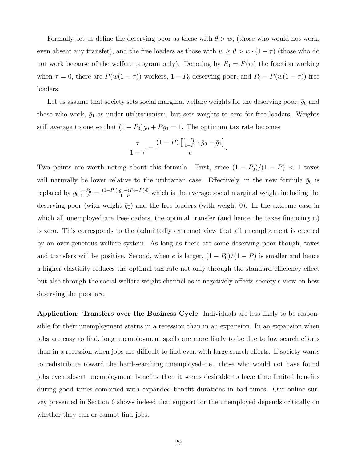Formally, let us define the deserving poor as those with  $\theta > w$ , (those who would not work, even absent any transfer), and the free loaders as those with  $w \ge \theta > w \cdot (1 - \tau)$  (those who do not work because of the welfare program only). Denoting by  $P_0 = P(w)$  the fraction working when  $\tau = 0$ , there are  $P(w(1 - \tau))$  workers,  $1 - P_0$  deserving poor, and  $P_0 - P(w(1 - \tau))$  free loaders.

Let us assume that society sets social marginal welfare weights for the deserving poor,  $\bar{g}_0$  and those who work,  $\bar{g}_1$  as under utilitarianism, but sets weights to zero for free loaders. Weights still average to one so that  $(1 - P_0)\bar{g}_0 + P\bar{g}_1 = 1$ . The optimum tax rate becomes

$$
\frac{\tau}{1-\tau} = \frac{(1-P)\left[\frac{1-P_0}{1-P}\cdot\bar{g}_0 - \bar{g}_1\right]}{e}.
$$

Two points are worth noting about this formula. First, since  $(1 - P_0)/(1 - P) < 1$  taxes will naturally be lower relative to the utilitarian case. Effectively, in the new formula  $\bar{g}_0$  is replaced by  $\bar{g}_0 \frac{1-P_0}{1-P} = \frac{(1-P_0) \cdot g_0 + (P_0-P) \cdot 0}{1-P}$  which is the average social marginal weight including the deserving poor (with weight  $\bar{g}_0$ ) and the free loaders (with weight 0). In the extreme case in which all unemployed are free-loaders, the optimal transfer (and hence the taxes financing it) is zero. This corresponds to the (admittedly extreme) view that all unemployment is created by an over-generous welfare system. As long as there are some deserving poor though, taxes and transfers will be positive. Second, when e is larger,  $(1 - P_0)/(1 - P)$  is smaller and hence a higher elasticity reduces the optimal tax rate not only through the standard efficiency effect but also through the social welfare weight channel as it negatively affects society's view on how deserving the poor are.

Application: Transfers over the Business Cycle. Individuals are less likely to be responsible for their unemployment status in a recession than in an expansion. In an expansion when jobs are easy to find, long unemployment spells are more likely to be due to low search efforts than in a recession when jobs are difficult to find even with large search efforts. If society wants to redistribute toward the hard-searching unemployed–i.e., those who would not have found jobs even absent unemployment benefits–then it seems desirable to have time limited benefits during good times combined with expanded benefit durations in bad times. Our online survey presented in Section 6 shows indeed that support for the unemployed depends critically on whether they can or cannot find jobs.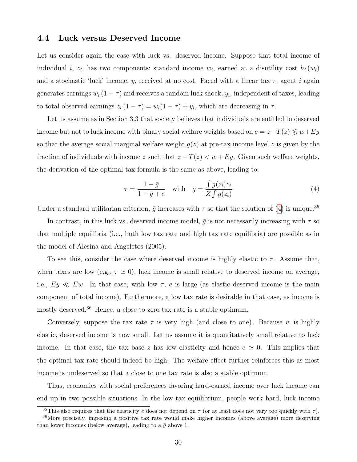### 4.4 Luck versus Deserved Income

Let us consider again the case with luck vs. deserved income. Suppose that total income of individual *i*,  $z_i$ , has two components: standard income  $w_i$ , earned at a disutility cost  $h_i(w_i)$ and a stochastic 'luck' income,  $y_i$  received at no cost. Faced with a linear tax  $\tau$ , agent i again generates earnings  $w_i(1-\tau)$  and receives a random luck shock,  $y_i$ , independent of taxes, leading to total observed earnings  $z_i(1-\tau) = w_i(1-\tau) + y_i$ , which are decreasing in  $\tau$ .

Let us assume as in Section 3.3 that society believes that individuals are entitled to deserved income but not to luck income with binary social welfare weights based on  $c = z - T(z) \leq w + Ey$ so that the average social marginal welfare weight  $g(z)$  at pre-tax income level z is given by the fraction of individuals with income z such that  $z - T(z) < w + Ey$ . Given such welfare weights, the derivation of the optimal tax formula is the same as above, leading to:

<span id="page-30-0"></span>
$$
\tau = \frac{1 - \bar{g}}{1 - \bar{g} + e} \quad \text{with} \quad \bar{g} = \frac{\int g(z_i) z_i}{Z \int g(z_i)} \tag{4}
$$

Under a standard utilitarian criterion,  $\bar{g}$  increases with  $\tau$  so that the solution of [\(4\)](#page-30-0) is unique.<sup>35</sup>

In contrast, in this luck vs. deserved income model,  $\bar{g}$  is not necessarily increasing with  $\tau$  so that multiple equilibria (i.e., both low tax rate and high tax rate equilibria) are possible as in the model of Alesina and Angeletos (2005).

To see this, consider the case where deserved income is highly elastic to  $\tau$ . Assume that, when taxes are low (e.g.,  $\tau \simeq 0$ ), luck income is small relative to deserved income on average, i.e.,  $Ey \ll Ew$ . In that case, with low  $\tau$ , e is large (as elastic deserved income is the main component of total income). Furthermore, a low tax rate is desirable in that case, as income is mostly deserved.<sup>36</sup> Hence, a close to zero tax rate is a stable optimum.

Conversely, suppose the tax rate  $\tau$  is very high (and close to one). Because w is highly elastic, deserved income is now small. Let us assume it is quantitatively small relative to luck income. In that case, the tax base z has low elasticity and hence  $e \simeq 0$ . This implies that the optimal tax rate should indeed be high. The welfare effect further reinforces this as most income is undeserved so that a close to one tax rate is also a stable optimum.

Thus, economies with social preferences favoring hard-earned income over luck income can end up in two possible situations. In the low tax equilibrium, people work hard, luck income

<sup>&</sup>lt;sup>35</sup>This also requires that the elasticity e does not depend on  $\tau$  (or at least does not vary too quickly with  $\tau$ ). <sup>36</sup>More precisely, imposing a positive tax rate would make higher incomes (above average) more deserving than lower incomes (below average), leading to a  $\bar{q}$  above 1.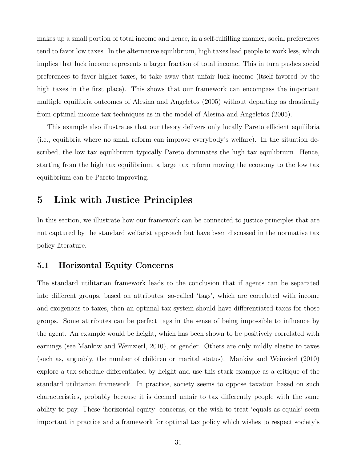makes up a small portion of total income and hence, in a self-fulfilling manner, social preferences tend to favor low taxes. In the alternative equilibrium, high taxes lead people to work less, which implies that luck income represents a larger fraction of total income. This in turn pushes social preferences to favor higher taxes, to take away that unfair luck income (itself favored by the high taxes in the first place). This shows that our framework can encompass the important multiple equilibria outcomes of Alesina and Angeletos (2005) without departing as drastically from optimal income tax techniques as in the model of Alesina and Angeletos (2005).

This example also illustrates that our theory delivers only locally Pareto efficient equilibria (i.e., equilibria where no small reform can improve everybody's welfare). In the situation described, the low tax equilibrium typically Pareto dominates the high tax equilibrium. Hence, starting from the high tax equilibrium, a large tax reform moving the economy to the low tax equilibrium can be Pareto improving.

### 5 Link with Justice Principles

In this section, we illustrate how our framework can be connected to justice principles that are not captured by the standard welfarist approach but have been discussed in the normative tax policy literature.

### 5.1 Horizontal Equity Concerns

The standard utilitarian framework leads to the conclusion that if agents can be separated into different groups, based on attributes, so-called 'tags', which are correlated with income and exogenous to taxes, then an optimal tax system should have differentiated taxes for those groups. Some attributes can be perfect tags in the sense of being impossible to influence by the agent. An example would be height, which has been shown to be positively correlated with earnings (see Mankiw and Weinzierl, 2010), or gender. Others are only mildly elastic to taxes (such as, arguably, the number of children or marital status). Mankiw and Weinzierl (2010) explore a tax schedule differentiated by height and use this stark example as a critique of the standard utilitarian framework. In practice, society seems to oppose taxation based on such characteristics, probably because it is deemed unfair to tax differently people with the same ability to pay. These 'horizontal equity' concerns, or the wish to treat 'equals as equals' seem important in practice and a framework for optimal tax policy which wishes to respect society's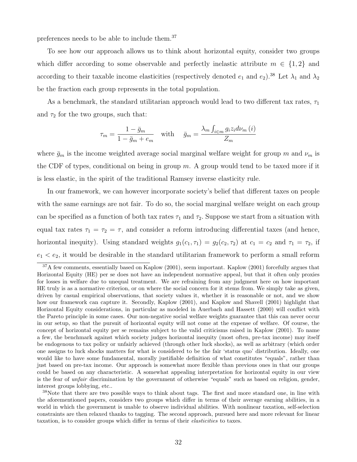preferences needs to be able to include them.<sup>37</sup>

To see how our approach allows us to think about horizontal equity, consider two groups which differ according to some observable and perfectly inelastic attribute  $m \in \{1,2\}$  and according to their taxable income elasticities (respectively denoted  $e_1$  and  $e_2$ ).<sup>38</sup> Let  $\lambda_1$  and  $\lambda_2$ be the fraction each group represents in the total population.

As a benchmark, the standard utilitarian approach would lead to two different tax rates,  $\tau_1$ and  $\tau_2$  for the two groups, such that:

$$
\tau_m = \frac{1 - \bar{g}_m}{1 - \bar{g}_m + e_m} \quad \text{with} \quad \bar{g}_m = \frac{\lambda_m \int_{i \in m} g_i z_i d\nu_m(i)}{Z_m}
$$

where  $\bar{g}_m$  is the income weighted average social marginal welfare weight for group m and  $\nu_m$  is the CDF of types, conditional on being in group  $m$ . A group would tend to be taxed more if it is less elastic, in the spirit of the traditional Ramsey inverse elasticity rule.

In our framework, we can however incorporate society's belief that different taxes on people with the same earnings are not fair. To do so, the social marginal welfare weight on each group can be specified as a function of both tax rates  $\tau_1$  and  $\tau_2$ . Suppose we start from a situation with equal tax rates  $\tau_1 = \tau_2 = \tau$ , and consider a reform introducing differential taxes (and hence, horizontal inequity). Using standard weights  $g_1(c_1, \tau_1) = g_2(c_2, \tau_2)$  at  $c_1 = c_2$  and  $\tau_1 = \tau_2$ , if  $e_1 < e_2$ , it would be desirable in the standard utilitarian framework to perform a small reform

<sup>&</sup>lt;sup>37</sup>A few comments, essentially based on Kaplow (2001), seem important. Kaplow (2001) forcefully argues that Horizontal Equity (HE) per se does not have an independent normative appeal, but that it often only proxies for losses in welfare due to unequal treatment. We are refraining from any judgment here on how important HE truly is as a normative criterion, or on where the social concern for it stems from. We simply take as given, driven by casual empirical observations, that society values it, whether it is reasonable or not, and we show how our framework can capture it. Secondly, Kaplow (2001), and Kaplow and Shavell (2001) highlight that Horizontal Equity considerations, in particular as modeled in Auerbach and Hassett (2000) will conflict with the Pareto principle in some cases. Our non-negative social welfare weights guarantee that this can never occur in our setup, so that the pursuit of horizontal equity will not come at the expense of welfare. Of course, the concept of horizontal equity per se remains subject to the valid criticisms raised in Kaplow (2001). To name a few, the benchmark against which society judges horizontal inequity (most often, pre-tax income) may itself be endogenous to tax policy or unfairly achieved (through other luck shocks), as well as arbitrary (which order one assigns to luck shocks matters for what is considered to be the fair 'status quo' distribution. Ideally, one would like to have some fundamental, morally justifiable definition of what constitutes "equals", rather than just based on pre-tax income. Our approach is somewhat more flexible than previous ones in that our groups could be based on any characteristic. A somewhat appealing interpretation for horizontal equity in our view is the fear of unfair discrimination by the government of otherwise "equals" such as based on religion, gender, interest groups lobbying, etc..

<sup>&</sup>lt;sup>38</sup>Note that there are two possible ways to think about tags. The first and more standard one, in line with the aforementioned papers, considers two groups which differ in terms of their average earning abilities, in a world in which the government is unable to observe individual abilities. With nonlinear taxation, self-selection constraints are then relaxed thanks to tagging. The second approach, pursued here and more relevant for linear taxation, is to consider groups which differ in terms of their elasticities to taxes.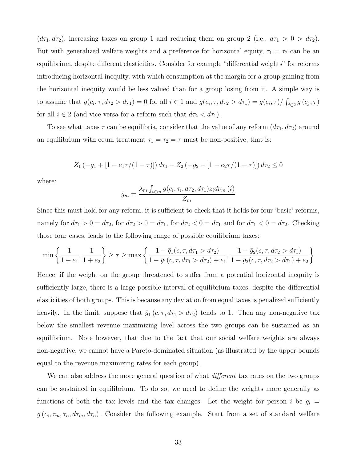$(d\tau_1, d\tau_2)$ , increasing taxes on group 1 and reducing them on group 2 (i.e.,  $d\tau_1 > 0 > d\tau_2$ ). But with generalized welfare weights and a preference for horizontal equity,  $\tau_1 = \tau_2$  can be an equilibrium, despite different elasticities. Consider for example "differential weights" for reforms introducing horizontal inequity, with which consumption at the margin for a group gaining from the horizontal inequity would be less valued than for a group losing from it. A simple way is to assume that  $g(c_i, \tau, d\tau_2 > d\tau_1) = 0$  for all  $i \in 1$  and  $g(c_i, \tau, d\tau_2 > d\tau_1) = g(c_i, \tau) / \int_{j \in 2} g(c_j, \tau)$ for all  $i \in 2$  (and vice versa for a reform such that  $d\tau_2 < d\tau_1$ ).

To see what taxes  $\tau$  can be equilibria, consider that the value of any reform  $(d\tau_1, d\tau_2)$  around an equilibrium with equal treatment  $\tau_1 = \tau_2 = \tau$  must be non-positive, that is:

$$
Z_1(-\bar{g}_1 + [1 - e_1 \tau/(1 - \tau)]) d\tau_1 + Z_2(-\bar{g}_2 + [1 - e_2 \tau/(1 - \tau)]) d\tau_2 \le 0
$$

where:

$$
\bar{g}_m = \frac{\lambda_m \int_{i \in m} g(c_i, \tau_i, d\tau_2, d\tau_1) z_i d\nu_m(i)}{Z_m}
$$

Since this must hold for any reform, it is sufficient to check that it holds for four 'basic' reforms, namely for  $d\tau_1 > 0 = d\tau_2$ , for  $d\tau_2 > 0 = d\tau_1$ , for  $d\tau_2 < 0 = d\tau_1$  and for  $d\tau_1 < 0 = d\tau_2$ . Checking those four cases, leads to the following range of possible equilibrium taxes:

$$
\min\left\{\frac{1}{1+e_1},\frac{1}{1+e_2}\right\} \ge \tau \ge \max\left\{\frac{1-\bar{g}_1(c,\tau,d\tau_1>d\tau_2)}{1-\bar{g}_1(c,\tau,d\tau_1>d\tau_2)+e_1},\frac{1-\bar{g}_2(c,\tau,d\tau_2>d\tau_1)}{1-\bar{g}_2(c,\tau,d\tau_2>d\tau_1)+e_2}\right\}
$$

Hence, if the weight on the group threatened to suffer from a potential horizontal inequity is sufficiently large, there is a large possible interval of equilibrium taxes, despite the differential elasticities of both groups. This is because any deviation from equal taxes is penalized sufficiently heavily. In the limit, suppose that  $\bar{g}_1(c, \tau, d\tau_1 > d\tau_2)$  tends to 1. Then any non-negative tax below the smallest revenue maximizing level across the two groups can be sustained as an equilibrium. Note however, that due to the fact that our social welfare weights are always non-negative, we cannot have a Pareto-dominated situation (as illustrated by the upper bounds equal to the revenue maximizing rates for each group).

We can also address the more general question of what *different* tax rates on the two groups can be sustained in equilibrium. To do so, we need to define the weights more generally as functions of both the tax levels and the tax changes. Let the weight for person i be  $g_i =$  $g(c_i, \tau_m, \tau_n, d\tau_m, d\tau_n)$ . Consider the following example. Start from a set of standard welfare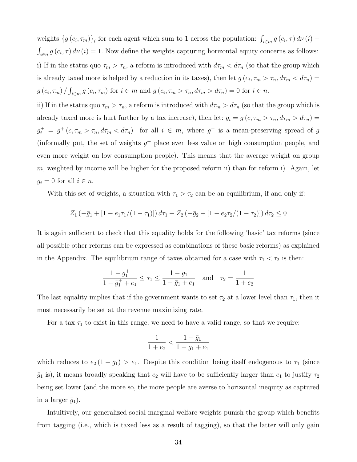weights  $\{g(c_i, \tau_m)\}_i$  for each agent which sum to 1 across the population:  $\int_{i \in m} g(c_i, \tau) d\nu(i) +$  $\int_{i\in n} g(c_i, \tau) d\nu(i) = 1$ . Now define the weights capturing horizontal equity concerns as follows: i) If in the status quo  $\tau_m > \tau_n$ , a reform is introduced with  $d\tau_m < d\tau_n$  (so that the group which is already taxed more is helped by a reduction in its taxes), then let  $g(c_i, \tau_m > \tau_n, d\tau_m < d\tau_n)$  $g(c_i, \tau_m) / \int_{i \in m} g(c_i, \tau_m)$  for  $i \in m$  and  $g(c_i, \tau_m > \tau_n, d\tau_m > d\tau_n) = 0$  for  $i \in n$ .

ii) If in the status quo  $\tau_m > \tau_n$ , a reform is introduced with  $d\tau_m > d\tau_n$  (so that the group which is already taxed more is hurt further by a tax increase), then let:  $g_i = g(c, \tau_m > \tau_n, d\tau_m > d\tau_n)$  $g_i^+ = g^+(c, \tau_m > \tau_n, d\tau_m < d\tau_n)$  for all  $i \in m$ , where  $g^+$  is a mean-preserving spread of g (informally put, the set of weights  $g^+$  place even less value on high consumption people, and even more weight on low consumption people). This means that the average weight on group m, weighted by income will be higher for the proposed reform ii) than for reform i). Again, let  $g_i = 0$  for all  $i \in n$ .

With this set of weights, a situation with  $\tau_1 > \tau_2$  can be an equilibrium, if and only if:

$$
Z_1\left(-\bar{g}_1 + [1 - e_1\tau_1/(1 - \tau_1)]\right)d\tau_1 + Z_2\left(-\bar{g}_2 + [1 - e_2\tau_2/(1 - \tau_2)]\right)d\tau_2 \le 0
$$

It is again sufficient to check that this equality holds for the following 'basic' tax reforms (since all possible other reforms can be expressed as combinations of these basic reforms) as explained in the Appendix. The equilibrium range of taxes obtained for a case with  $\tau_1 < \tau_2$  is then:

$$
\frac{1 - \bar{g}_1^+}{1 - \bar{g}_1^+ + e_1} \le \tau_1 \le \frac{1 - \bar{g}_1}{1 - \bar{g}_1 + e_1} \quad \text{and} \quad \tau_2 = \frac{1}{1 + e_2}
$$

The last equality implies that if the government wants to set  $\tau_2$  at a lower level than  $\tau_1$ , then it must necessarily be set at the revenue maximizing rate.

For a tax  $\tau_1$  to exist in this range, we need to have a valid range, so that we require:

$$
\frac{1}{1+e_2} < \frac{1-\bar{g}_1}{1-g_1+e_1}
$$

which reduces to  $e_2 (1 - \bar{g}_1) > e_1$ . Despite this condition being itself endogenous to  $\tau_1$  (since  $\bar{g}_1$  is), it means broadly speaking that  $e_2$  will have to be sufficiently larger than  $e_1$  to justify  $\tau_2$ being set lower (and the more so, the more people are averse to horizontal inequity as captured in a larger  $\bar{g}_1$ ).

Intuitively, our generalized social marginal welfare weights punish the group which benefits from tagging (i.e., which is taxed less as a result of tagging), so that the latter will only gain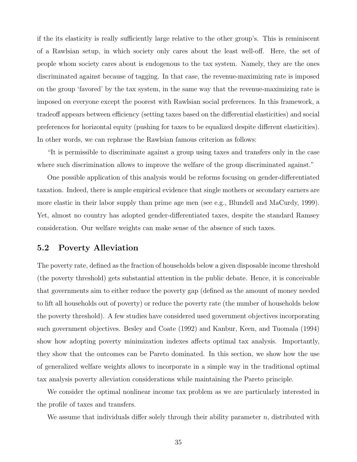if the its elasticity is really sufficiently large relative to the other group's. This is reminiscent of a Rawlsian setup, in which society only cares about the least well-off. Here, the set of people whom society cares about is endogenous to the tax system. Namely, they are the ones discriminated against because of tagging. In that case, the revenue-maximizing rate is imposed on the group 'favored' by the tax system, in the same way that the revenue-maximizing rate is imposed on everyone except the poorest with Rawlsian social preferences. In this framework, a tradeoff appears between efficiency (setting taxes based on the differential elasticities) and social preferences for horizontal equity (pushing for taxes to be equalized despite different elasticities). In other words, we can rephrase the Rawlsian famous criterion as follows:

"It is permissible to discriminate against a group using taxes and transfers only in the case where such discrimination allows to improve the welfare of the group discriminated against."

One possible application of this analysis would be reforms focusing on gender-differentiated taxation. Indeed, there is ample empirical evidence that single mothers or secondary earners are more elastic in their labor supply than prime age men (see e.g., Blundell and MaCurdy, 1999). Yet, almost no country has adopted gender-differentiated taxes, despite the standard Ramsey consideration. Our welfare weights can make sense of the absence of such taxes.

### 5.2 Poverty Alleviation

The poverty rate, defined as the fraction of households below a given disposable income threshold (the poverty threshold) gets substantial attention in the public debate. Hence, it is conceivable that governments aim to either reduce the poverty gap (defined as the amount of money needed to lift all households out of poverty) or reduce the poverty rate (the number of households below the poverty threshold). A few studies have considered used government objectives incorporating such government objectives. Besley and Coate (1992) and Kanbur, Keen, and Tuomala (1994) show how adopting poverty minimization indexes affects optimal tax analysis. Importantly, they show that the outcomes can be Pareto dominated. In this section, we show how the use of generalized welfare weights allows to incorporate in a simple way in the traditional optimal tax analysis poverty alleviation considerations while maintaining the Pareto principle.

We consider the optimal nonlinear income tax problem as we are particularly interested in the profile of taxes and transfers.

We assume that individuals differ solely through their ability parameter  $n$ , distributed with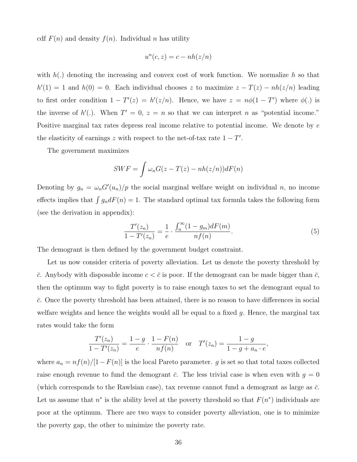cdf  $F(n)$  and density  $f(n)$ . Individual n has utility

$$
u^n(c, z) = c - nh(z/n)
$$

with  $h(.)$  denoting the increasing and convex cost of work function. We normalize h so that  $h'(1) = 1$  and  $h(0) = 0$ . Each individual chooses z to maximize  $z - T(z) - nh(z/n)$  leading to first order condition  $1 - T'(z) = h'(z/n)$ . Hence, we have  $z = n\phi(1 - T')$  where  $\phi(.)$  is the inverse of  $h'$ . When  $T' = 0$ ,  $z = n$  so that we can interpret n as "potential income." Positive marginal tax rates depress real income relative to potential income. We denote by e the elasticity of earnings z with respect to the net-of-tax rate  $1 - T'$ .

The government maximizes

$$
SWF = \int \omega_n G(z - T(z) - nh(z/n))dF(n)
$$

Denoting by  $g_n = \omega_n G'(u_n)/p$  the social marginal welfare weight on individual n, no income effects implies that  $\int g_n dF(n) = 1$ . The standard optimal tax formula takes the following form (see the derivation in appendix):

<span id="page-36-0"></span>
$$
\frac{T'(z_n)}{1 - T'(z_n)} = \frac{1}{e} \cdot \frac{\int_n^{\infty} (1 - g_m) dF(m)}{nf(n)}.
$$
\n(5)

The demogrant is then defined by the government budget constraint.

Let us now consider criteria of poverty alleviation. Let us denote the poverty threshold by  $\bar{c}$ . Anybody with disposable income  $c < \bar{c}$  is poor. If the demogrant can be made bigger than  $\bar{c}$ , then the optimum way to fight poverty is to raise enough taxes to set the demogrant equal to  $\bar{c}$ . Once the poverty threshold has been attained, there is no reason to have differences in social welfare weights and hence the weights would all be equal to a fixed  $g$ . Hence, the marginal tax rates would take the form

$$
\frac{T'(z_n)}{1 - T'(z_n)} = \frac{1 - g}{e} \cdot \frac{1 - F(n)}{nf(n)} \quad \text{or} \quad T'(z_n) = \frac{1 - g}{1 - g + a_n \cdot e},
$$

where  $a_n = nf(n)/[1-F(n)]$  is the local Pareto parameter. g is set so that total taxes collected raise enough revenue to fund the demogrant  $\bar{c}$ . The less trivial case is when even with  $g = 0$ (which corresponds to the Rawlsian case), tax revenue cannot fund a demogrant as large as  $\bar{c}$ . Let us assume that  $n^*$  is the ability level at the poverty threshold so that  $F(n^*)$  individuals are poor at the optimum. There are two ways to consider poverty alleviation, one is to minimize the poverty gap, the other to minimize the poverty rate.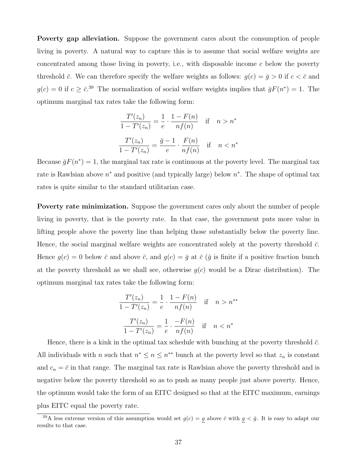Poverty gap alleviation. Suppose the government cares about the consumption of people living in poverty. A natural way to capture this is to assume that social welfare weights are concentrated among those living in poverty, i.e., with disposable income c below the poverty threshold  $\bar{c}$ . We can therefore specify the welfare weights as follows:  $g(c) = \bar{g} > 0$  if  $c < \bar{c}$  and  $g(c) = 0$  if  $c \ge \bar{c}^{39}$ . The normalization of social welfare weights implies that  $\bar{g}F(n^*) = 1$ . The optimum marginal tax rates take the following form:

$$
\frac{T'(z_n)}{1 - T'(z_n)} = \frac{1}{e} \cdot \frac{1 - F(n)}{nf(n)} \quad \text{if} \quad n > n^*
$$

$$
\frac{T'(z_n)}{1 - T'(z_n)} = \frac{\bar{g} - 1}{e} \cdot \frac{F(n)}{nf(n)} \quad \text{if} \quad n < n^*
$$

Because  $\bar{g}F(n^*) = 1$ , the marginal tax rate is continuous at the poverty level. The marginal tax rate is Rawlsian above  $n^*$  and positive (and typically large) below  $n^*$ . The shape of optimal tax rates is quite similar to the standard utilitarian case.

Poverty rate minimization. Suppose the government cares only about the number of people living in poverty, that is the poverty rate. In that case, the government puts more value in lifting people above the poverty line than helping those substantially below the poverty line. Hence, the social marginal welfare weights are concentrated solely at the poverty threshold  $\bar{c}$ . Hence  $g(c) = 0$  below  $\bar{c}$  and above  $\bar{c}$ , and  $g(c) = \bar{g}$  at  $\bar{c}$  ( $\bar{g}$  is finite if a positive fraction bunch at the poverty threshold as we shall see, otherwise  $g(c)$  would be a Dirac distribution). The optimum marginal tax rates take the following form:

$$
\frac{T'(z_n)}{1 - T'(z_n)} = \frac{1}{e} \cdot \frac{1 - F(n)}{nf(n)} \quad \text{if} \quad n > n^{**}
$$

$$
\frac{T'(z_n)}{1 - T'(z_n)} = \frac{1}{e} \cdot \frac{-F(n)}{nf(n)} \quad \text{if} \quad n < n^*
$$

Hence, there is a kink in the optimal tax schedule with bunching at the poverty threshold  $\bar{c}$ . All individuals with n such that  $n^* \leq n \leq n^{**}$  bunch at the poverty level so that  $z_n$  is constant and  $c_n = \bar{c}$  in that range. The marginal tax rate is Rawlsian above the poverty threshold and is negative below the poverty threshold so as to push as many people just above poverty. Hence, the optimum would take the form of an EITC designed so that at the EITC maximum, earnings plus EITC equal the poverty rate.

<sup>&</sup>lt;sup>39</sup>A less extreme version of this assumption would set  $g(c) = g$  above  $\bar{c}$  with  $g < \bar{g}$ . It is easy to adapt our results to that case.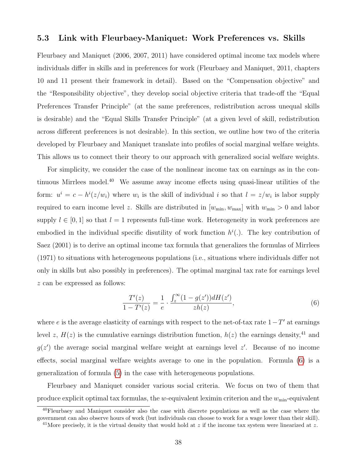#### 5.3 Link with Fleurbaey-Maniquet: Work Preferences vs. Skills

Fleurbaey and Maniquet (2006, 2007, 2011) have considered optimal income tax models where individuals differ in skills and in preferences for work (Fleurbaey and Maniquet, 2011, chapters 10 and 11 present their framework in detail). Based on the "Compensation objective" and the "Responsibility objective", they develop social objective criteria that trade-off the "Equal Preferences Transfer Principle" (at the same preferences, redistribution across unequal skills is desirable) and the "Equal Skills Transfer Principle" (at a given level of skill, redistribution across different preferences is not desirable). In this section, we outline how two of the criteria developed by Fleurbaey and Maniquet translate into profiles of social marginal welfare weights. This allows us to connect their theory to our approach with generalized social welfare weights.

For simplicity, we consider the case of the nonlinear income tax on earnings as in the continuous Mirrlees model. $40$  We assume away income effects using quasi-linear utilities of the form:  $u^i = c - h^i(z/w_i)$  where  $w_i$  is the skill of individual i so that  $l = z/w_i$  is labor supply required to earn income level z. Skills are distributed in  $[w_{\min}, w_{\max}]$  with  $w_{\min} > 0$  and labor supply  $l \in [0, 1]$  so that  $l = 1$  represents full-time work. Heterogeneity in work preferences are embodied in the individual specific disutility of work function  $h^{i}(.)$ . The key contribution of Saez (2001) is to derive an optimal income tax formula that generalizes the formulas of Mirrlees (1971) to situations with heterogeneous populations (i.e., situations where individuals differ not only in skills but also possibly in preferences). The optimal marginal tax rate for earnings level z can be expressed as follows:

<span id="page-38-0"></span>
$$
\frac{T'(z)}{1 - T'(z)} = \frac{1}{e} \cdot \frac{\int_z^{\infty} (1 - g(z')) dH(z')}{zh(z)},
$$
\n(6)

where e is the average elasticity of earnings with respect to the net-of-tax rate  $1-T'$  at earnings level z,  $H(z)$  is the cumulative earnings distribution function,  $h(z)$  the earnings density,<sup>41</sup> and  $g(z')$  the average social marginal welfare weight at earnings level  $z'$ . Because of no income effects, social marginal welfare weights average to one in the population. Formula [\(6\)](#page-38-0) is a generalization of formula [\(5\)](#page-36-0) in the case with heterogeneous populations.

Fleurbaey and Maniquet consider various social criteria. We focus on two of them that produce explicit optimal tax formulas, the w-equivalent leximin criterion and the  $w_{\text{min}}$ -equivalent

<sup>40</sup>Fleurbaey and Maniquet consider also the case with discrete populations as well as the case where the government can also observe hours of work (but individuals can choose to work for a wage lower than their skill).

<sup>&</sup>lt;sup>41</sup>More precisely, it is the virtual density that would hold at z if the income tax system were linearized at z.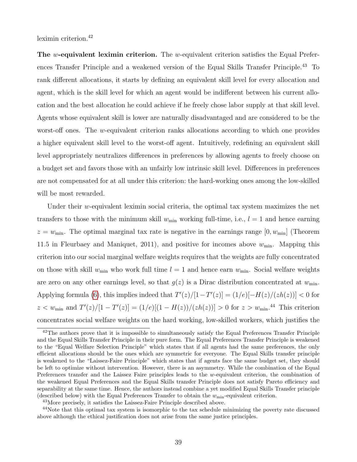leximin criterion.<sup>42</sup>

The w-equivalent leximin criterion. The w-equivalent criterion satisfies the Equal Preferences Transfer Principle and a weakened version of the Equal Skills Transfer Principle.<sup>43</sup> To rank different allocations, it starts by defining an equivalent skill level for every allocation and agent, which is the skill level for which an agent would be indifferent between his current allocation and the best allocation he could achieve if he freely chose labor supply at that skill level. Agents whose equivalent skill is lower are naturally disadvantaged and are considered to be the worst-off ones. The w-equivalent criterion ranks allocations according to which one provides a higher equivalent skill level to the worst-off agent. Intuitively, redefining an equivalent skill level appropriately neutralizes differences in preferences by allowing agents to freely choose on a budget set and favors those with an unfairly low intrinsic skill level. Differences in preferences are not compensated for at all under this criterion: the hard-working ones among the low-skilled will be most rewarded.

Under their w-equivalent leximin social criteria, the optimal tax system maximizes the net transfers to those with the minimum skill  $w_{\text{min}}$  working full-time, i.e.,  $l = 1$  and hence earning  $z = w_{\text{min}}$ . The optimal marginal tax rate is negative in the earnings range  $[0, w_{\text{min}}]$  (Theorem 11.5 in Fleurbaey and Maniquet, 2011), and positive for incomes above  $w_{\text{min}}$ . Mapping this criterion into our social marginal welfare weights requires that the weights are fully concentrated on those with skill  $w_{\text{min}}$  who work full time  $l = 1$  and hence earn  $w_{\text{min}}$ . Social welfare weights are zero on any other earnings level, so that  $g(z)$  is a Dirac distribution concentrated at  $w_{\text{min}}$ . Applying formula [\(6\)](#page-38-0), this implies indeed that  $T'(z)/[1-T'(z)] = (1/e)[-H(z)/(zh(z))] < 0$  for  $z < w_{\min}$  and  $T'(z)/[1 - T'(z)] = (1/e)[(1 - H(z))/(zh(z))] > 0$  for  $z > w_{\min}$ .<sup>44</sup> This criterion concentrates social welfare weights on the hard working, low-skilled workers, which justifies the

<sup>&</sup>lt;sup>42</sup>The authors prove that it is impossible to simultaneously satisfy the Equal Preferences Transfer Principle and the Equal Skills Transfer Principle in their pure form. The Equal Preferences Transfer Principle is weakened to the "Equal Welfare Selection Principle" which states that if all agents had the same preferences, the only efficient allocations should be the ones which are symmetric for everyone. The Equal Skills transfer principle is weakened to the "Laissez-Faire Principle" which states that if agents face the same budget set, they should be left to optimize without intervention. However, there is an asymmetry. While the combination of the Equal Preferences transfer and the Laissez Faire principles leads to the w-equivalent criterion, the combination of the weakened Equal Preferences and the Equal Skills transfer Principle does not satisfy Pareto efficiency and separability at the same time. Hence, the authors instead combine a yet modified Equal Skills Transfer principle (described below) with the Equal Preferences Transfer to obtain the  $w_{\text{min}}$ -equivalent criterion.

<sup>43</sup>More precisely, it satisfies the Laissez-Faire Principle described above.

<sup>44</sup>Note that this optimal tax system is isomorphic to the tax schedule minimizing the poverty rate discussed above although the ethical justification does not arise from the same justice principles.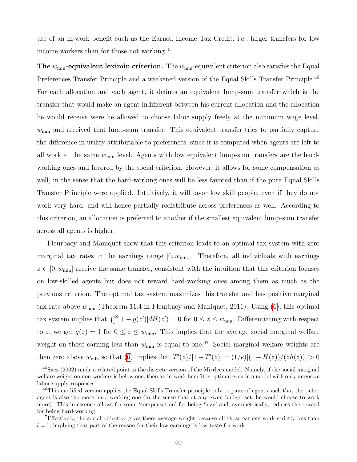use of an in-work benefit such as the Earned Income Tax Credit, i.e., larger transfers for low income workers than for those not working.<sup>45</sup>

The  $w_{\min}$ -equivalent leximin criterion. The  $w_{\min}$ -equivalent criterion also satisfies the Equal Preferences Transfer Principle and a weakened version of the Equal Skills Transfer Principle.<sup>46</sup> For each allocation and each agent, it defines an equivalent lump-sum transfer which is the transfer that would make an agent indifferent between his current allocation and the allocation he would receive were he allowed to choose labor supply freely at the minimum wage level,  $w_{\text{min}}$  and received that lump-sum transfer. This equivalent transfer tries to partially capture the difference in utility attributable to preferences, since it is computed when agents are left to all work at the same  $w_{\text{min}}$  level. Agents with low equivalent lump-sum transfers are the hardworking ones and favored by the social criterion. However, it allows for some compensation as well, in the sense that the hard-working ones will be less favored than if the pure Equal Skills Transfer Principle were applied. Intuitively, it will favor low skill people, even if they do not work very hard, and will hence partially redistribute across preferences as well. According to this criterion, an allocation is preferred to another if the smallest equivalent lump-sum transfer across all agents is higher.

Fleurbaey and Maniquet show that this criterion leads to an optimal tax system with zero marginal tax rates in the earnings range  $[0, w_{\text{min}}]$ . Therefore, all individuals with earnings  $z \in [0, w_{\min}]$  receive the same transfer, consistent with the intuition that this criterion focuses on low-skilled agents but does not reward hard-working ones among them as much as the previous criterion. The optimal tax system maximizes this transfer and has positive marginal tax rate above  $w_{\text{min}}$  (Theorem 11.4 in Fleurbaey and Maniquet, 2011). Using [\(6\)](#page-38-0), this optimal tax system implies that  $\int_z^{\infty} [1 - g(z')] dH(z') = 0$  for  $0 \le z \le w_{\min}$ . Differentiating with respect to z, we get  $g(z) = 1$  for  $0 \le z \le w_{\text{min}}$ . This implies that the average social marginal welfare weight on those earning less than  $w_{\text{min}}$  is equal to one.<sup>47</sup> Social marginal welfare weights are then zero above  $w_{\text{min}}$  so that [\(6\)](#page-38-0) implies that  $T'(z) / [1 - T'(z)] = (1/e)[(1 - H(z))/(zh(z))] > 0$ 

<sup>45</sup>Saez (2002) made a related point in the discrete version of the Mirrlees model. Namely, if the social marginal welfare weight on non-workers is below one, then an in-work benefit is optimal even in a model with only intensive labor supply responses.

<sup>&</sup>lt;sup>46</sup>This modified version applies the Equal Skills Transfer principle only to pairs of agents such that the richer agent is also the more hard-working one (in the sense that at any given budget set, he would choose to work more). This in essence allows for some 'compensation' for being 'lazy' and, symmetrically, reduces the reward for being hard-working.

<sup>&</sup>lt;sup>47</sup>Effectively, the social objective gives them average weight because all those earners work strictly less than  $l = 1$ , implying that part of the reason for their low earnings is low taste for work.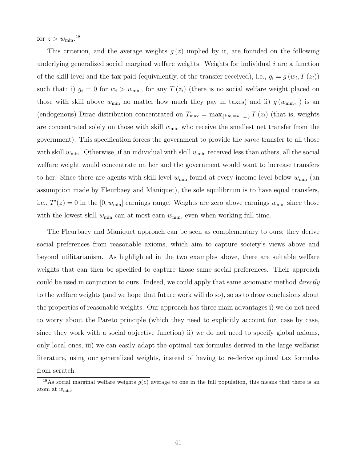for  $z > w_{\text{min}}$ .<sup>48</sup>

This criterion, and the average weights  $g(z)$  implied by it, are founded on the following underlying generalized social marginal welfare weights. Weights for individual  $i$  are a function of the skill level and the tax paid (equivalently, of the transfer received), i.e.,  $g_i = g(w_i, T(z_i))$ such that: i)  $g_i = 0$  for  $w_i > w_{\text{min}}$ , for any  $T(z_i)$  (there is no social welfare weight placed on those with skill above  $w_{\min}$  no matter how much they pay in taxes) and ii)  $g(w_{\min}, \cdot)$  is an (endogenous) Dirac distribution concentrated on  $T_{\text{max}} = \max_{\{i:w_i=w_{\text{min}}\}} T(z_i)$  (that is, weights are concentrated solely on those with skill  $w_{\text{min}}$  who receive the smallest net transfer from the government). This specification forces the government to provide the *same* transfer to all those with skill  $w_{\text{min}}$ . Otherwise, if an individual with skill  $w_{\text{min}}$  received less than others, all the social welfare weight would concentrate on her and the government would want to increase transfers to her. Since there are agents with skill level  $w_{\min}$  found at every income level below  $w_{\min}$  (an assumption made by Fleurbaey and Maniquet), the sole equilibrium is to have equal transfers, i.e.,  $T'(z) = 0$  in the [0,  $w_{\text{min}}$ ] earnings range. Weights are zero above earnings  $w_{\text{min}}$  since those with the lowest skill  $w_{\text{min}}$  can at most earn  $w_{\text{min}}$ , even when working full time.

The Fleurbaey and Maniquet approach can be seen as complementary to ours: they derive social preferences from reasonable axioms, which aim to capture society's views above and beyond utilitarianism. As highlighted in the two examples above, there are suitable welfare weights that can then be specified to capture those same social preferences. Their approach could be used in conjuction to ours. Indeed, we could apply that same axiomatic method *directly* to the welfare weights (and we hope that future work will do so), so as to draw conclusions about the properties of reasonable weights. Our approach has three main advantages i) we do not need to worry about the Pareto principle (which they need to explicitly account for, case by case, since they work with a social objective function) ii) we do not need to specify global axioms, only local ones, iii) we can easily adapt the optimal tax formulas derived in the large welfarist literature, using our generalized weights, instead of having to re-derive optimal tax formulas from scratch.

<sup>&</sup>lt;sup>48</sup>As social marginal welfare weights  $g(z)$  average to one in the full population, this means that there is an atom at  $w_{\min}$ .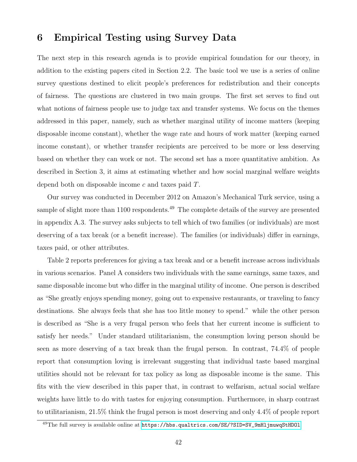### 6 Empirical Testing using Survey Data

The next step in this research agenda is to provide empirical foundation for our theory, in addition to the existing papers cited in Section 2.2. The basic tool we use is a series of online survey questions destined to elicit people's preferences for redistribution and their concepts of fairness. The questions are clustered in two main groups. The first set serves to find out what notions of fairness people use to judge tax and transfer systems. We focus on the themes addressed in this paper, namely, such as whether marginal utility of income matters (keeping disposable income constant), whether the wage rate and hours of work matter (keeping earned income constant), or whether transfer recipients are perceived to be more or less deserving based on whether they can work or not. The second set has a more quantitative ambition. As described in Section 3, it aims at estimating whether and how social marginal welfare weights depend both on disposable income c and taxes paid T.

Our survey was conducted in December 2012 on Amazon's Mechanical Turk service, using a sample of slight more than  $1100$  respondents.<sup>49</sup> The complete details of the survey are presented in appendix A.3. The survey asks subjects to tell which of two families (or individuals) are most deserving of a tax break (or a benefit increase). The families (or individuals) differ in earnings, taxes paid, or other attributes.

Table 2 reports preferences for giving a tax break and or a benefit increase across individuals in various scenarios. Panel A considers two individuals with the same earnings, same taxes, and same disposable income but who differ in the marginal utility of income. One person is described as "She greatly enjoys spending money, going out to expensive restaurants, or traveling to fancy destinations. She always feels that she has too little money to spend." while the other person is described as "She is a very frugal person who feels that her current income is sufficient to satisfy her needs." Under standard utilitarianism, the consumption loving person should be seen as more deserving of a tax break than the frugal person. In contrast, 74.4% of people report that consumption loving is irrelevant suggesting that individual taste based marginal utilities should not be relevant for tax policy as long as disposable income is the same. This fits with the view described in this paper that, in contrast to welfarism, actual social welfare weights have little to do with tastes for enjoying consumption. Furthermore, in sharp contrast to utilitarianism, 21.5% think the frugal person is most deserving and only 4.4% of people report

<sup>49</sup>The full survey is available online at [https://hbs.qualtrics.com/SE/?SID=SV\\_9mHljmuwqStHDOl](https://hbs.qualtrics.com/SE/?SID=SV_9mHljmuwqStHDOl)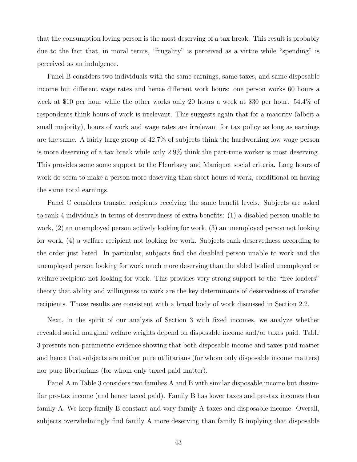that the consumption loving person is the most deserving of a tax break. This result is probably due to the fact that, in moral terms, "frugality" is perceived as a virtue while "spending" is perceived as an indulgence.

Panel B considers two individuals with the same earnings, same taxes, and same disposable income but different wage rates and hence different work hours: one person works 60 hours a week at \$10 per hour while the other works only 20 hours a week at \$30 per hour. 54.4% of respondents think hours of work is irrelevant. This suggests again that for a majority (albeit a small majority), hours of work and wage rates are irrelevant for tax policy as long as earnings are the same. A fairly large group of 42.7% of subjects think the hardworking low wage person is more deserving of a tax break while only 2.9% think the part-time worker is most deserving. This provides some some support to the Fleurbaey and Maniquet social criteria. Long hours of work do seem to make a person more deserving than short hours of work, conditional on having the same total earnings.

Panel C considers transfer recipients receiving the same benefit levels. Subjects are asked to rank 4 individuals in terms of deservedness of extra benefits: (1) a disabled person unable to work, (2) an unemployed person actively looking for work, (3) an unemployed person not looking for work, (4) a welfare recipient not looking for work. Subjects rank deservedness according to the order just listed. In particular, subjects find the disabled person unable to work and the unemployed person looking for work much more deserving than the abled bodied unemployed or welfare recipient not looking for work. This provides very strong support to the "free loaders" theory that ability and willingness to work are the key determinants of deservedness of transfer recipients. Those results are consistent with a broad body of work discussed in Section 2.2.

Next, in the spirit of our analysis of Section 3 with fixed incomes, we analyze whether revealed social marginal welfare weights depend on disposable income and/or taxes paid. Table 3 presents non-parametric evidence showing that both disposable income and taxes paid matter and hence that subjects are neither pure utilitarians (for whom only disposable income matters) nor pure libertarians (for whom only taxed paid matter).

Panel A in Table 3 considers two families A and B with similar disposable income but dissimilar pre-tax income (and hence taxed paid). Family B has lower taxes and pre-tax incomes than family A. We keep family B constant and vary family A taxes and disposable income. Overall, subjects overwhelmingly find family A more deserving than family B implying that disposable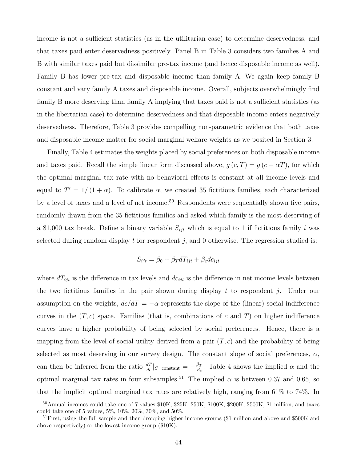income is not a sufficient statistics (as in the utilitarian case) to determine deservedness, and that taxes paid enter deservedness positively. Panel B in Table 3 considers two families A and B with similar taxes paid but dissimilar pre-tax income (and hence disposable income as well). Family B has lower pre-tax and disposable income than family A. We again keep family B constant and vary family A taxes and disposable income. Overall, subjects overwhelmingly find family B more deserving than family A implying that taxes paid is not a sufficient statistics (as in the libertarian case) to determine deservedness and that disposable income enters negatively deservedness. Therefore, Table 3 provides compelling non-parametric evidence that both taxes and disposable income matter for social marginal welfare weights as we posited in Section 3.

Finally, Table 4 estimates the weights placed by social preferences on both disposable income and taxes paid. Recall the simple linear form discussed above,  $g(c,T) = g(c - \alpha T)$ , for which the optimal marginal tax rate with no behavioral effects is constant at all income levels and equal to  $T' = 1/(1 + \alpha)$ . To calibrate  $\alpha$ , we created 35 fictitious families, each characterized by a level of taxes and a level of net income.<sup>50</sup> Respondents were sequentially shown five pairs, randomly drawn from the 35 fictitious families and asked which family is the most deserving of a \$1,000 tax break. Define a binary variable  $S_{ijt}$  which is equal to 1 if fictitious family i was selected during random display  $t$  for respondent  $j$ , and 0 otherwise. The regression studied is:

$$
S_{ijt} = \beta_0 + \beta_T dT_{ijt} + \beta_c dc_{ijt}
$$

where  $dT_{ijt}$  is the difference in tax levels and  $dc_{ijt}$  is the difference in net income levels between the two fictitious families in the pair shown during display t to respondent j. Under our assumption on the weights,  $dc/dT = -\alpha$  represents the slope of the (linear) social indifference curves in the  $(T, c)$  space. Families (that is, combinations of c and T) on higher indifference curves have a higher probability of being selected by social preferences. Hence, there is a mapping from the level of social utility derived from a pair  $(T, c)$  and the probability of being selected as most deserving in our survey design. The constant slope of social preferences,  $\alpha$ , can then be inferred from the ratio  $\frac{dT}{dc}|_{S=\text{constant}} = -\frac{\beta_T}{\beta_c}$  $\frac{\beta_T}{\beta_c}$ . Table 4 shows the implied  $\alpha$  and the optimal marginal tax rates in four subsamples.<sup>51</sup> The implied  $\alpha$  is between 0.37 and 0.65, so that the implicit optimal marginal tax rates are relatively high, ranging from 61% to 74%. In

<sup>50</sup>Annual incomes could take one of 7 values \$10K, \$25K, \$50K, \$100K, \$200K, \$500K, \$1 million, and taxes could take one of 5 values, 5%, 10%, 20%, 30%, and 50%.

<sup>&</sup>lt;sup>51</sup>First, using the full sample and then dropping higher income groups (\$1 million and above and \$500K and above respectively) or the lowest income group (\$10K).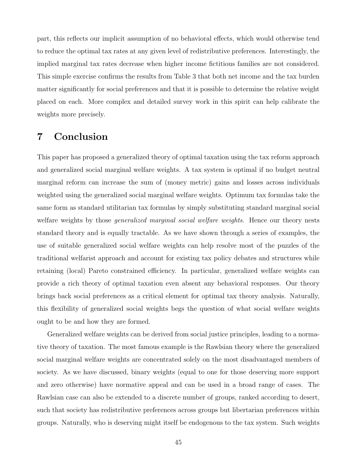part, this reflects our implicit assumption of no behavioral effects, which would otherwise tend to reduce the optimal tax rates at any given level of redistributive preferences. Interestingly, the implied marginal tax rates decrease when higher income fictitious families are not considered. This simple exercise confirms the results from Table 3 that both net income and the tax burden matter significantly for social preferences and that it is possible to determine the relative weight placed on each. More complex and detailed survey work in this spirit can help calibrate the weights more precisely.

# 7 Conclusion

This paper has proposed a generalized theory of optimal taxation using the tax reform approach and generalized social marginal welfare weights. A tax system is optimal if no budget neutral marginal reform can increase the sum of (money metric) gains and losses across individuals weighted using the generalized social marginal welfare weights. Optimum tax formulas take the same form as standard utilitarian tax formulas by simply substituting standard marginal social welfare weights by those *generalized marginal social welfare weights*. Hence our theory nests standard theory and is equally tractable. As we have shown through a series of examples, the use of suitable generalized social welfare weights can help resolve most of the puzzles of the traditional welfarist approach and account for existing tax policy debates and structures while retaining (local) Pareto constrained efficiency. In particular, generalized welfare weights can provide a rich theory of optimal taxation even absent any behavioral responses. Our theory brings back social preferences as a critical element for optimal tax theory analysis. Naturally, this flexibility of generalized social weights begs the question of what social welfare weights ought to be and how they are formed.

Generalized welfare weights can be derived from social justice principles, leading to a normative theory of taxation. The most famous example is the Rawlsian theory where the generalized social marginal welfare weights are concentrated solely on the most disadvantaged members of society. As we have discussed, binary weights (equal to one for those deserving more support and zero otherwise) have normative appeal and can be used in a broad range of cases. The Rawlsian case can also be extended to a discrete number of groups, ranked according to desert, such that society has redistributive preferences across groups but libertarian preferences within groups. Naturally, who is deserving might itself be endogenous to the tax system. Such weights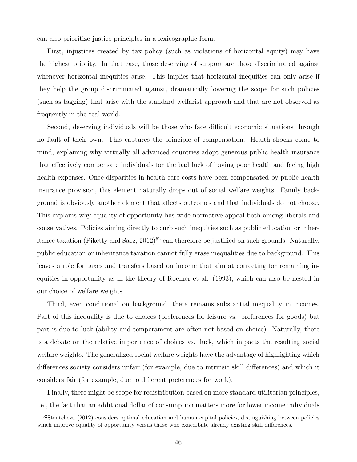can also prioritize justice principles in a lexicographic form.

First, injustices created by tax policy (such as violations of horizontal equity) may have the highest priority. In that case, those deserving of support are those discriminated against whenever horizontal inequities arise. This implies that horizontal inequities can only arise if they help the group discriminated against, dramatically lowering the scope for such policies (such as tagging) that arise with the standard welfarist approach and that are not observed as frequently in the real world.

Second, deserving individuals will be those who face difficult economic situations through no fault of their own. This captures the principle of compensation. Health shocks come to mind, explaining why virtually all advanced countries adopt generous public health insurance that effectively compensate individuals for the bad luck of having poor health and facing high health expenses. Once disparities in health care costs have been compensated by public health insurance provision, this element naturally drops out of social welfare weights. Family background is obviously another element that affects outcomes and that individuals do not choose. This explains why equality of opportunity has wide normative appeal both among liberals and conservatives. Policies aiming directly to curb such inequities such as public education or inheritance taxation (Piketty and Saez,  $2012$ )<sup>52</sup> can therefore be justified on such grounds. Naturally, public education or inheritance taxation cannot fully erase inequalities due to background. This leaves a role for taxes and transfers based on income that aim at correcting for remaining inequities in opportunity as in the theory of Roemer et al. (1993), which can also be nested in our choice of welfare weights.

Third, even conditional on background, there remains substantial inequality in incomes. Part of this inequality is due to choices (preferences for leisure vs. preferences for goods) but part is due to luck (ability and temperament are often not based on choice). Naturally, there is a debate on the relative importance of choices vs. luck, which impacts the resulting social welfare weights. The generalized social welfare weights have the advantage of highlighting which differences society considers unfair (for example, due to intrinsic skill differences) and which it considers fair (for example, due to different preferences for work).

Finally, there might be scope for redistribution based on more standard utilitarian principles, i.e., the fact that an additional dollar of consumption matters more for lower income individuals

<sup>&</sup>lt;sup>52</sup>Stantcheva (2012) considers optimal education and human capital policies, distinguishing between policies which improve equality of opportunity versus those who exacerbate already existing skill differences.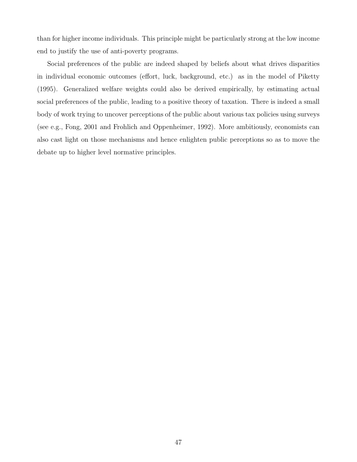than for higher income individuals. This principle might be particularly strong at the low income end to justify the use of anti-poverty programs.

Social preferences of the public are indeed shaped by beliefs about what drives disparities in individual economic outcomes (effort, luck, background, etc.) as in the model of Piketty (1995). Generalized welfare weights could also be derived empirically, by estimating actual social preferences of the public, leading to a positive theory of taxation. There is indeed a small body of work trying to uncover perceptions of the public about various tax policies using surveys (see e.g., Fong, 2001 and Frohlich and Oppenheimer, 1992). More ambitiously, economists can also cast light on those mechanisms and hence enlighten public perceptions so as to move the debate up to higher level normative principles.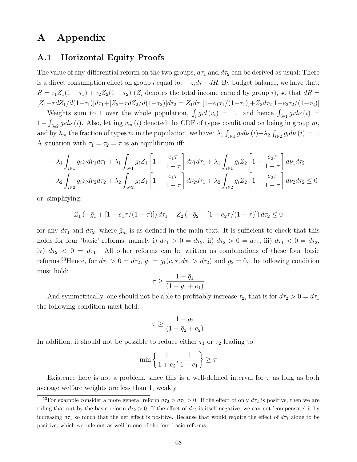# A Appendix

### A.1 Horizontal Equity Proofs

The value of any differential reform on the two groups,  $d\tau_1$  and  $d\tau_2$  can be derived as usual: There is a direct consumption effect on group i equal to:  $-z_i d\tau + dR$ . By budget balance, we have that:  $R = \tau_1 Z_1(1 - \tau_1) + \tau_2 Z_2(1 - \tau_2)$  ( $Z_i$  denotes the total income earned by group i), so that  $dR =$  $[Z_1-\tau dZ_1/d(1-\tau_1)]d\tau_1+[Z_2-\tau dZ_2/d(1-\tau_2)]d\tau_2 = Z_1d\tau_1[1-e_1\tau_1/(1-\tau_1)]+Z_2d\tau_2[1-e_2\tau_2/(1-\tau_2)]$ 

Weights sum to 1 over the whole population,  $\int_i g_i d(v_i) = 1$ . and hence  $\int_{i \in I} g_i d\nu(i) =$  $1-\int_{i\in\mathbb{Z}}g_id\nu(i)$ . Also, letting  $v_m(i)$  denoted the CDF of types conditional on being in group m, and by  $\lambda_m$  the fraction of types m in the population, we have:  $\lambda_1 \int_{i \in I} g_i d\nu(i) + \lambda_2 \int_{i \in I} g_i d\nu(i) = 1$ . A situation with  $\tau_1 = \tau_2 = \tau$  is an equilibrium iff:

$$
-\lambda_1 \int_{i\in I} g_i z_i d\nu_1 d\tau_1 + \lambda_1 \int_{i\in I} g_i Z_1 \left[ 1 - \frac{e_1 \tau}{1 - \tau} \right] d\nu_1 d\tau_1 + \lambda_1 \int_{i\in I} g_i Z_2 \left[ 1 - \frac{e_2 \tau}{1 - \tau} \right] d\nu_1 d\tau_2 +
$$
  

$$
-\lambda_2 \int_{i\in 2} g_i z_i d\nu_2 d\tau_2 + \lambda_2 \int_{i\in 2} g_i Z_1 \left[ 1 - \frac{e_1 \tau}{1 - \tau} \right] d\nu_2 d\tau_1 + \lambda_2 \int_{i\in 2} g_i Z_2 \left[ 1 - \frac{e_2 \tau}{1 - \tau} \right] d\nu_2 d\tau_2 \le 0
$$

or, simplifying:

$$
Z_1(-\bar{g}_1 + [1 - e_1 \tau/(1 - \tau)]) d\tau_1 + Z_2(-\bar{g}_2 + [1 - e_2 \tau/(1 - \tau)]) d\tau_2 \le 0
$$

for any  $d\tau_1$  and  $d\tau_2$ , where  $\bar{g}_m$  is as defined in the main text. It is sufficient to check that this holds for four 'basic' reforms, namely i)  $d\tau_1 > 0 = d\tau_2$ , ii)  $d\tau_2 > 0 = d\tau_1$ , iii)  $d\tau_1 < 0 = d\tau_2$ , iv)  $d\tau_2 < 0 = d\tau_1$ . All other reforms can be written as combinations of these four basic reforms.<sup>53</sup>Hence, for  $d\tau_1 > 0 = d\tau_2$ ,  $\bar{g}_1 = \bar{g}_1(c, \tau, d\tau_1 > d\tau_2)$  and  $g_2 = 0$ , the following condition must hold:

$$
\tau \ge \frac{1 - \bar{g}_1}{(1 - \bar{g}_1 + e_1)}
$$

And symmetrically, one should not be able to profitably increase  $\tau_2$ , that is for  $d\tau_2 > 0 = d\tau_1$ the following condition must hold:

$$
\tau \ge \frac{1 - \bar{g}_2}{(1 - \bar{g}_2 + e_2)}
$$

In addition, it should not be possible to reduce either  $\tau_1$  or  $\tau_2$  leading to:

$$
\min\left\{\frac{1}{1+e_2}, \frac{1}{1+e_1}\right\} \ge \tau
$$

Existence here is not a problem, since this is a well-defined interval for  $\tau$  as long as both average welfare weights are less than 1, weakly.

<sup>&</sup>lt;sup>53</sup>For example consider a more general reform  $d\tau_2 > d\tau_1 > 0$ . If the effect of only  $d\tau_2$  is positive, then we are ruling that out by the basic reform  $d\tau_2 > 0$ . If the effect of  $d\tau_2$  is itself negative, we can not 'compensate' it by increasing  $d\tau_1$  so much that the net effect is positive. Because that would require the effect of  $d\tau_1$  alone to be positive, which we rule out as well in one of the four basic reforms.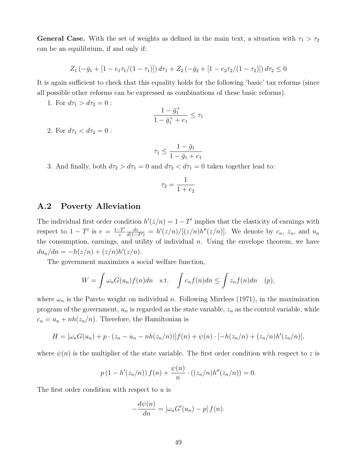**General Case.** With the set of weights as defined in the main text, a situation with  $\tau_1 > \tau_2$ can be an equilibrium, if and only if:

$$
Z_1(-\bar{g}_1 + [1 - e_1 \tau_1/(1 - \tau_1)]) d\tau_1 + Z_2(-\bar{g}_2 + [1 - e_2 \tau_2/(1 - \tau_2)]) d\tau_2 \le 0
$$

It is again sufficient to check that this equality holds for the following 'basic' tax reforms (since all possible other reforms can be expressed as combinations of these basic reforms).

1. For  $d\tau_1 > d\tau_2 = 0$ :

$$
\frac{1-\bar{g}_1^+}{1-\bar{g}_1^++e_1}\leq \tau_1
$$

2. For  $d\tau_1 < d\tau_2 = 0$ :

$$
\tau_1 \le \frac{1 - \bar{g}_1}{1 - \bar{g}_1 + e_1}
$$

3. And finally, both  $d\tau_2 > d\tau_1 = 0$  and  $d\tau_2 < d\tau_1 = 0$  taken together lead to:

$$
\tau_2 = \frac{1}{1+e_2}
$$

### A.2 Poverty Alleviation

The individual first order condition  $h'(z/n) = 1 - T'$  implies that the elasticity of earnings with respect to  $1-T'$  is  $e=\frac{1-T'}{x}$ z  $\frac{dz}{d(1-T')} = h'(z/n)/[(z/n)h''(z/n)]$ . We denote by  $c_n$ ,  $z_n$ , and  $u_n$ the consumption, earnings, and utility of individual  $n$ . Using the envelope theorem, we have  $du_n/dn = -h(z/n) + (z/n)h'(z/n).$ 

The government maximizes a social welfare function,

$$
W = \int \omega_n G(u_n) f(n) dn \quad \text{s.t.} \quad \int c_n f(n) dn \le \int z_n f(n) dn \quad (p),
$$

where  $\omega_n$  is the Pareto weight on individual n. Following Mirrlees (1971), in the maximization program of the government,  $u_n$  is regarded as the state variable,  $z_n$  as the control variable, while  $c_n = u_n + nh(z_n/n)$ . Therefore, the Hamiltonian is

$$
H = [\omega_n G(u_n) + p \cdot (z_n - u_n - nh(z_n/n))]f(n) + \psi(n) \cdot [-h(z_n/n) + (z_n/n)h'(z_n/n)],
$$

where  $\psi(n)$  is the multiplier of the state variable. The first order condition with respect to z is

$$
p(1 - h'(z_n/n)) f(n) + \frac{\psi(n)}{n} \cdot ((z_n/n)h''(z_n/n)) = 0.
$$

The first order condition with respect to  $u$  is

$$
-\frac{d\psi(n)}{dn} = [\omega_n G'(u_n) - p] f(n).
$$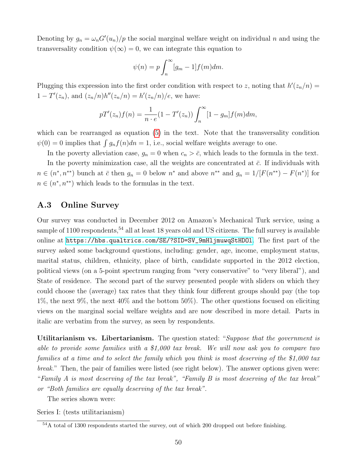Denoting by  $g_n = \omega_n G'(u_n)/p$  the social marginal welfare weight on individual n and using the transversality condition  $\psi(\infty) = 0$ , we can integrate this equation to

$$
\psi(n) = p \int_n^{\infty} [g_m - 1] f(m) dm.
$$

Plugging this expression into the first order condition with respect to z, noting that  $h'(z_n/n) =$  $1 - T'(z_n)$ , and  $(z_n/n)h''(z_n/n) = h'(z_n/n)/e$ , we have:

$$
pT'(z_n)f(n) = \frac{1}{n \cdot e}(1 - T'(z_n)) \int_n^{\infty} [1 - g_m] f(m) dm,
$$

which can be rearranged as equation [\(5\)](#page-36-0) in the text. Note that the transversality condition  $\psi(0) = 0$  implies that  $\int g_n f(n)dn = 1$ , i.e., social welfare weights average to one.

In the poverty alleviation case,  $g_n = 0$  when  $c_n > \bar{c}$ , which leads to the formula in the text. In the poverty minimization case, all the weights are concentrated at  $\bar{c}$ . If individuals with  $n \in (n^*, n^{**})$  bunch at  $\bar{c}$  then  $g_n = 0$  below  $n^*$  and above  $n^{**}$  and  $g_n = 1/[F(n^{**}) - F(n^*)]$  for  $n \in (n^*, n^{**})$  which leads to the formulas in the text.

### A.3 Online Survey

Our survey was conducted in December 2012 on Amazon's Mechanical Turk service, using a sample of 1100 respondents,<sup>54</sup> all at least 18 years old and US citizens. The full survey is available online at [https://hbs.qualtrics.com/SE/?SID=SV\\_9mHljmuwqStHDOl](https://hbs.qualtrics.com/SE/?SID=SV_9mHljmuwqStHDOl). The first part of the survey asked some background questions, including: gender, age, income, employment status, marital status, children, ethnicity, place of birth, candidate supported in the 2012 election, political views (on a 5-point spectrum ranging from "very conservative" to "very liberal"), and State of residence. The second part of the survey presented people with sliders on which they could choose the (average) tax rates that they think four different groups should pay (the top 1%, the next 9%, the next 40% and the bottom 50%). The other questions focused on eliciting views on the marginal social welfare weights and are now described in more detail. Parts in italic are verbatim from the survey, as seen by respondents.

Utilitarianism vs. Libertarianism. The question stated: "Suppose that the government is able to provide some families with a \$1,000 tax break. We will now ask you to compare two families at a time and to select the family which you think is most deserving of the \$1,000 tax break." Then, the pair of families were listed (see right below). The answer options given were: "Family A is most deserving of the tax break", "Family B is most deserving of the tax break" or "Both families are equally deserving of the tax break".

The series shown were:

Series I: (tests utilitarianism)

<sup>54</sup>A total of 1300 respondents started the survey, out of which 200 dropped out before finishing.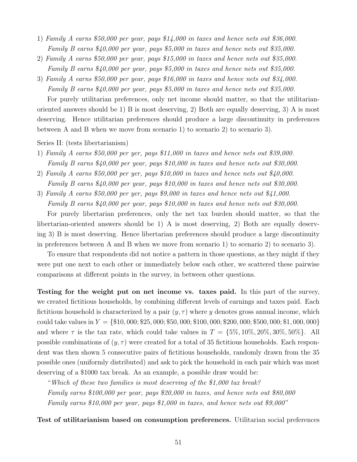- 1) Family A earns \$50,000 per year, pays \$14,000 in taxes and hence nets out \$36,000. Family B earns \$40,000 per year, pays \$5,000 in taxes and hence nets out \$35,000.
- 2) Family A earns \$50,000 per year, pays \$15,000 in taxes and hence nets out \$35,000. Family B earns \$40,000 per year, pays \$5,000 in taxes and hence nets out \$35,000.
- 3) Family A earns \$50,000 per year, pays \$16,000 in taxes and hence nets out \$34,000. Family B earns \$40,000 per year, pays \$5,000 in taxes and hence nets out \$35,000.

For purely utilitarian preferences, only net income should matter, so that the utilitarianoriented answers should be 1) B is most deserving, 2) Both are equally deserving, 3) A is most deserving. Hence utilitarian preferences should produce a large discontinuity in preferences between A and B when we move from scenario 1) to scenario 2) to scenario 3).

Series II: (tests libertarianism)

- 1) Family A earns \$50,000 per yer, pays \$11,000 in taxes and hence nets out \$39,000. Family B earns \$40,000 per year, pays \$10,000 in taxes and hence nets out \$30,000.
- 2) Family A earns \$50,000 per yer, pays \$10,000 in taxes and hence nets out \$40,000. Family B earns \$40,000 per year, pays \$10,000 in taxes and hence nets out \$30,000.
- 3) Family A earns \$50,000 per yer, pays \$9,000 in taxes and hence nets out \$41,000. Family B earns \$40,000 per year, pays \$10,000 in taxes and hence nets out \$30,000.

For purely libertarian preferences, only the net tax burden should matter, so that the libertarian-oriented answers should be 1) A is most deserving, 2) Both are equally deserving 3) B is most deserving. Hence libertarian preferences should produce a large discontinuity in preferences between A and B when we move from scenario 1) to scenario 2) to scenario 3).

To ensure that respondents did not notice a pattern in those questions, as they might if they were put one next to each other or immediately below each other, we scattered these pairwise comparisons at different points in the survey, in between other questions.

Testing for the weight put on net income vs. taxes paid. In this part of the survey, we created fictitious households, by combining different levels of earnings and taxes paid. Each fictitious household is characterized by a pair  $(y, \tau)$  where y denotes gross annual income, which could take values in  $Y = \{\$10,000;\$25,000;\$50,000;\$100,000;\$200,000;\$500,000;\$1,000,000\}$ and where  $\tau$  is the tax rate, which could take values in  $T = \{5\%, 10\%, 20\%, 30\%, 50\%\}$ . All possible combinations of  $(y, \tau)$  were created for a total of 35 fictitious households. Each respondent was then shown 5 consecutive pairs of fictitious households, randomly drawn from the 35 possible ones (uniformly distributed) and ask to pick the household in each pair which was most deserving of a \$1000 tax break. As an example, a possible draw would be:

"Which of these two families is most deserving of the \$1,000 tax break? Family earns \$100,000 per year, pays \$20,000 in taxes, and hence nets out \$80,000 Family earns \$10,000 per year, pays \$1,000 in taxes, and hence nets out \$9,000"

Test of utilitarianism based on consumption preferences. Utilitarian social preferences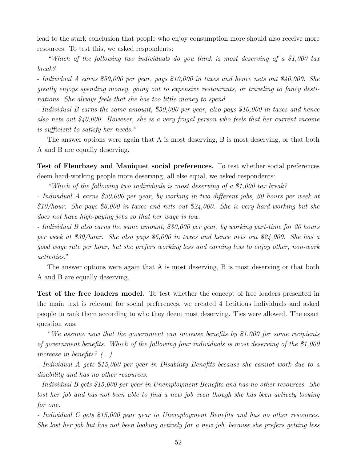lead to the stark conclusion that people who enjoy consumption more should also receive more resources. To test this, we asked respondents:

"Which of the following two individuals do you think is most deserving of a \$1,000 tax break?

- Individual A earns \$50,000 per year, pays \$10,000 in taxes and hence nets out \$40,000. She greatly enjoys spending money, going out to expensive restaurants, or traveling to fancy destinations. She always feels that she has too little money to spend.

- Individual B earns the same amount, \$50,000 per year, also pays \$10,000 in taxes and hence also nets out \$40,000. However, she is a very frugal person who feels that her current income is sufficient to satisfy her needs."

The answer options were again that A is most deserving, B is most deserving, or that both A and B are equally deserving.

Test of Fleurbaey and Maniquet social preferences. To test whether social preferences deem hard-working people more deserving, all else equal, we asked respondents:

"Which of the following two individuals is most deserving of a \$1,000 tax break?

- Individual A earns \$30,000 per year, by working in two different jobs, 60 hours per week at \$10/hour. She pays \$6,000 in taxes and nets out \$24,000. She is very hard-working but she does not have high-paying jobs so that her wage is low.

- Individual B also earns the same amount, \$30,000 per year, by working part-time for 20 hours per week at \$30/hour. She also pays \$6,000 in taxes and hence nets out \$24,000. She has a good wage rate per hour, but she prefers working less and earning less to enjoy other, non-work activities."

The answer options were again that A is most deserving, B is most deserving or that both A and B are equally deserving.

Test of the free loaders model. To test whether the concept of free loaders presented in the main text is relevant for social preferences, we created 4 fictitious individuals and asked people to rank them according to who they deem most deserving. Ties were allowed. The exact question was:

"We assume now that the government can increase benefits by \$1,000 for some recipients of government benefits. Which of the following four individuals is most deserving of the \$1,000 increase in benefits? (...)

- Individual A gets \$15,000 per year in Disability Benefits because she cannot work due to a disability and has no other resources.

- Individual B gets \$15,000 per year in Unemployment Benefits and has no other resources. She lost her job and has not been able to find a new job even though she has been actively looking for one.

- Individual C gets \$15,000 pear year in Unemployment Benefits and has no other resources. She lost her job but has not been looking actively for a new job, because she prefers getting less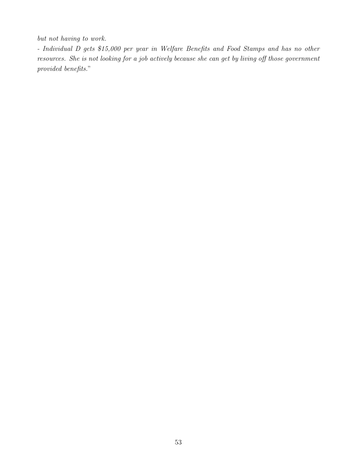but not having to work.

- Individual D gets \$15,000 per year in Welfare Benefits and Food Stamps and has no other resources. She is not looking for a job actively because she can get by living off those government provided benefits."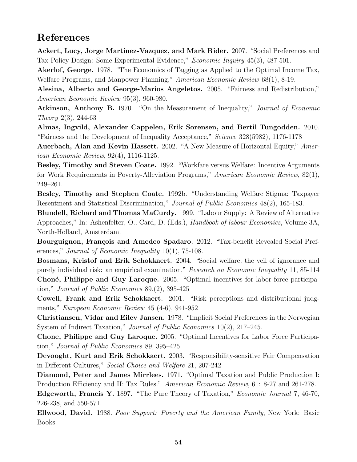# References

Ackert, Lucy, Jorge Martinez-Vazquez, and Mark Rider. 2007. "Social Preferences and Tax Policy Design: Some Experimental Evidence," Economic Inquiry 45(3), 487-501.

Akerlof, George. 1978. "The Economics of Tagging as Applied to the Optimal Income Tax, Welfare Programs, and Manpower Planning," American Economic Review 68(1), 8-19.

Alesina, Alberto and George-Marios Angeletos. 2005. "Fairness and Redistribution," American Economic Review 95(3), 960-980.

Atkinson, Anthony B. 1970. "On the Measurement of Inequality," Journal of Economic Theory 2(3), 244-63

Almas, Ingvild, Alexander Cappelen, Erik Sorensen, and Bertil Tungodden. 2010. "Fairness and the Development of Inequality Acceptance," Science 328(5982), 1176-1178

Auerbach, Alan and Kevin Hassett. 2002. "A New Measure of Horizontal Equity," American Economic Review, 92(4), 1116-1125.

Besley, Timothy and Steven Coate. 1992. "Workfare versus Welfare: Incentive Arguments for Work Requirements in Poverty-Alleviation Programs," American Economic Review, 82(1), 249–261.

Besley, Timothy and Stephen Coate. 1992b. "Understanding Welfare Stigma: Taxpayer Resentment and Statistical Discrimination," Journal of Public Economics 48(2), 165-183.

Blundell, Richard and Thomas MaCurdy. 1999. "Labour Supply: A Review of Alternative Approaches," In: Ashenfelter, O., Card, D. (Eds.), Handbook of labour Economics, Volume 3A, North-Holland, Amsterdam.

Bourguignon, François and Amedeo Spadaro. 2012. "Tax-benefit Revealed Social Preferences," Journal of Economic Inequality 10(1), 75-108.

Bosmans, Kristof and Erik Schokkaert. 2004. "Social welfare, the veil of ignorance and purely individual risk: an empirical examination," Research on Economic Inequality 11, 85-114 Choné, Philippe and Guy Laroque. 2005. "Optimal incentives for labor force participation," Journal of Public Economics 89.(2), 395-425

Cowell, Frank and Erik Schokkaert. 2001. "Risk perceptions and distributional judgments," European Economic Review 45 (4-6), 941-952

Christiansen, Vidar and Eilev Jansen. 1978. "Implicit Social Preferences in the Norwegian System of Indirect Taxation," Journal of Public Economics 10(2), 217–245.

Chone, Philippe and Guy Laroque. 2005. "Optimal Incentives for Labor Force Participation," Journal of Public Economics 89, 395–425.

Devooght, Kurt and Erik Schokkaert. 2003. "Responsibility-sensitive Fair Compensation in Different Cultures," Social Choice and Welfare 21, 207-242

Diamond, Peter and James Mirrlees. 1971. "Optimal Taxation and Public Production I: Production Efficiency and II: Tax Rules." American Economic Review, 61: 8-27 and 261-278.

Edgeworth, Francis Y. 1897. "The Pure Theory of Taxation," Economic Journal 7, 46-70, 226-238, and 550-571.

Ellwood, David. 1988. Poor Support: Poverty and the American Family, New York: Basic Books.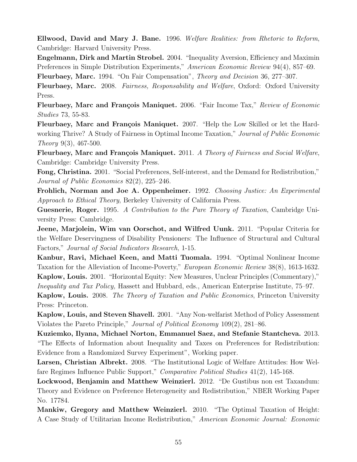Ellwood, David and Mary J. Bane. 1996. Welfare Realities: from Rhetoric to Reform, Cambridge: Harvard University Press.

Engelmann, Dirk and Martin Strobel. 2004. "Inequality Aversion, Efficiency and Maximin Preferences in Simple Distribution Experiments," American Economic Review 94(4), 857–69.

Fleurbaey, Marc. 1994. "On Fair Compensation", Theory and Decision 36, 277–307.

Fleurbaey, Marc. 2008. Fairness, Responsability and Welfare, Oxford: Oxford University Press.

Fleurbaey, Marc and François Maniquet. 2006. "Fair Income Tax," Review of Economic Studies 73, 55-83.

Fleurbaey, Marc and François Maniquet. 2007. "Help the Low Skilled or let the Hardworking Thrive? A Study of Fairness in Optimal Income Taxation," Journal of Public Economic Theory 9(3), 467-500.

Fleurbaey, Marc and François Maniquet. 2011. A Theory of Fairness and Social Welfare, Cambridge: Cambridge University Press.

Fong, Christina. 2001. "Social Preferences, Self-interest, and the Demand for Redistribution," Journal of Public Economics 82(2), 225–246.

Frohlich, Norman and Joe A. Oppenheimer. 1992. Choosing Justice: An Experimental Approach to Ethical Theory, Berkeley University of California Press.

Guesnerie, Roger. 1995. A Contribution to the Pure Theory of Taxation, Cambridge University Press: Cambridge.

Jeene, Marjolein, Wim van Oorschot, and Wilfred Uunk. 2011. "Popular Criteria for the Welfare Deservingness of Disability Pensioners: The Influence of Structural and Cultural Factors," Journal of Social Indicators Research, 1-15.

Kanbur, Ravi, Michael Keen, and Matti Tuomala. 1994. "Optimal Nonlinear Income Taxation for the Alleviation of Income-Poverty," European Economic Review 38(8), 1613-1632. Kaplow, Louis. 2001. "Horizontal Equity: New Measures, Unclear Principles (Commentary),"

Inequality and Tax Policy, Hassett and Hubbard, eds., American Enterprise Institute, 75–97.

Kaplow, Louis. 2008. The Theory of Taxation and Public Economics, Princeton University Press: Princeton.

Kaplow, Louis, and Steven Shavell. 2001. "Any Non-welfarist Method of Policy Assessment Violates the Pareto Principle," Journal of Political Economy 109(2), 281–86.

Kuziemko, Ilyana, Michael Norton, Emmanuel Saez, and Stefanie Stantcheva. 2013. "The Effects of Information about Inequality and Taxes on Preferences for Redistribution: Evidence from a Randomized Survey Experiment", Working paper.

Larsen, Christian Albrekt. 2008. "The Institutional Logic of Welfare Attitudes: How Welfare Regimes Influence Public Support," Comparative Political Studies 41(2), 145-168.

Lockwood, Benjamin and Matthew Weinzierl. 2012. "De Gustibus non est Taxandum: Theory and Evidence on Preference Heterogeneity and Redistribution," NBER Working Paper No. 17784.

Mankiw, Gregory and Matthew Weinzierl. 2010. "The Optimal Taxation of Height: A Case Study of Utilitarian Income Redistribution," American Economic Journal: Economic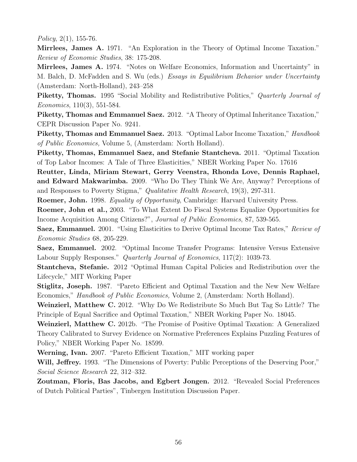Policy,  $2(1)$ , 155-76.

Mirrlees, James A. 1971. "An Exploration in the Theory of Optimal Income Taxation." Review of Economic Studies, 38: 175-208.

Mirrlees, James A. 1974. "Notes on Welfare Economics, Information and Uncertainty" in M. Balch, D. McFadden and S. Wu (eds.) Essays in Equilibrium Behavior under Uncertainty (Amsterdam: North-Holland), 243–258

Piketty, Thomas. 1995 "Social Mobility and Redistributive Politics," Quarterly Journal of Economics, 110(3), 551-584.

Piketty, Thomas and Emmanuel Saez. 2012. "A Theory of Optimal Inheritance Taxation," CEPR Discussion Paper No. 9241.

Piketty, Thomas and Emmanuel Saez. 2013. "Optimal Labor Income Taxation," Handbook of Public Economics, Volume 5, (Amsterdam: North Holland).

Piketty, Thomas, Emmanuel Saez, and Stefanie Stantcheva. 2011. "Optimal Taxation of Top Labor Incomes: A Tale of Three Elasticities," NBER Working Paper No. 17616

Reutter, Linda, Miriam Stewart, Gerry Veenstra, Rhonda Love, Dennis Raphael, and Edward Makwarimba. 2009. "Who Do They Think We Are, Anyway? Perceptions of and Responses to Poverty Stigma," Qualitative Health Research, 19(3), 297-311.

Roemer, John. 1998. Equality of Opportunity, Cambridge: Harvard University Press.

Roemer, John et al., 2003. "To What Extent Do Fiscal Systems Equalize Opportunities for Income Acquisition Among Citizens?", Journal of Public Economics, 87, 539-565.

Saez, Emmanuel. 2001. "Using Elasticities to Derive Optimal Income Tax Rates," Review of Economic Studies 68, 205-229.

Saez, Emmanuel. 2002. "Optimal Income Transfer Programs: Intensive Versus Extensive Labour Supply Responses." *Quarterly Journal of Economics*, 117(2): 1039-73.

Stantcheva, Stefanie. 2012 "Optimal Human Capital Policies and Redistribution over the Lifecycle," MIT Working Paper

Stiglitz, Joseph. 1987. "Pareto Efficient and Optimal Taxation and the New New Welfare Economics," Handbook of Public Economics, Volume 2, (Amsterdam: North Holland).

Weinzierl, Matthew C. 2012. "Why Do We Redistribute So Much But Tag So Little? The Principle of Equal Sacrifice and Optimal Taxation," NBER Working Paper No. 18045.

Weinzierl, Matthew C. 2012b. "The Promise of Positive Optimal Taxation: A Generalized Theory Calibrated to Survey Evidence on Normative Preferences Explains Puzzling Features of Policy," NBER Working Paper No. 18599.

Werning, Ivan. 2007. "Pareto Efficient Taxation," MIT working paper

Will, Jeffrey. 1993. "The Dimensions of Poverty: Public Perceptions of the Deserving Poor," Social Science Research 22, 312–332.

Zoutman, Floris, Bas Jacobs, and Egbert Jongen. 2012. "Revealed Social Preferences of Dutch Political Parties", Tinbergen Institution Discussion Paper.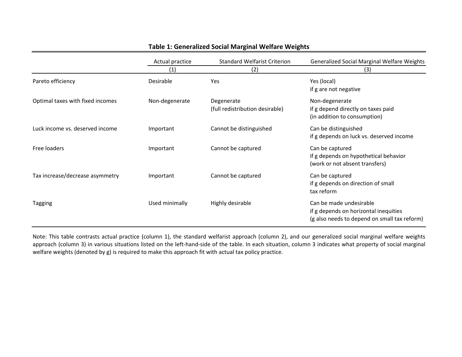|                                  | Actual practice | <b>Standard Welfarist Criterion</b>           | <b>Generalized Social Marginal Welfare Weights</b>                                                               |
|----------------------------------|-----------------|-----------------------------------------------|------------------------------------------------------------------------------------------------------------------|
|                                  | (1)             | (2)                                           | (3)                                                                                                              |
| Pareto efficiency                | Desirable       | Yes                                           | Yes (local)<br>if g are not negative                                                                             |
| Optimal taxes with fixed incomes | Non-degenerate  | Degenerate<br>(full redistribution desirable) | Non-degenerate<br>if g depend directly on taxes paid<br>(in addition to consumption)                             |
| Luck income vs. deserved income  | Important       | Cannot be distinguished                       | Can be distinguished<br>if g depends on luck vs. deserved income                                                 |
| Free loaders                     | Important       | Cannot be captured                            | Can be captured<br>if g depends on hypothetical behavior<br>(work or not absent transfers)                       |
| Tax increase/decrease asymmetry  | Important       | Cannot be captured                            | Can be captured<br>if g depends on direction of small<br>tax reform                                              |
| Tagging                          | Used minimally  | Highly desirable                              | Can be made undesirable<br>if g depends on horizontal inequities<br>(g also needs to depend on small tax reform) |

### **Table 1: Generalized Social Marginal Welfare Weights**

Note: This table contrasts actual practice (column 1), the standard welfarist approach (column 2), and our generalized social marginal welfare weights approach (column 3) in various situations listed on the left-hand-side of the table. In each situation, column 3 indicates what property of social marginal welfare weights (denoted by g) is required to make this approach fit with actual tax policy practice.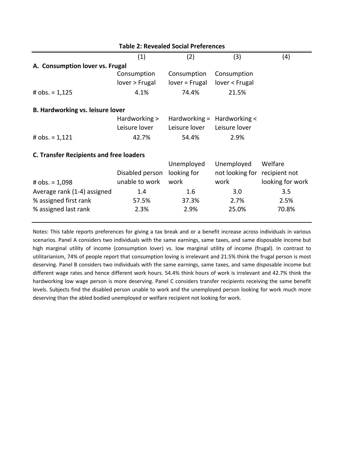| <b>Table 2: Revealed Social Preferences</b>    |                 |                             |                               |                  |
|------------------------------------------------|-----------------|-----------------------------|-------------------------------|------------------|
|                                                | (1)             | (2)                         | (3)                           | (4)              |
| A. Consumption lover vs. Frugal                |                 |                             |                               |                  |
|                                                | Consumption     | Consumption                 | Consumption                   |                  |
|                                                | lover > Frugal  | lover = Frugal              | lover < Frugal                |                  |
| # $obs. = 1,125$                               | 4.1%            | 74.4%                       | 21.5%                         |                  |
| <b>B. Hardworking vs. leisure lover</b>        |                 |                             |                               |                  |
|                                                | Hardworking >   | Hardworking = Hardworking < |                               |                  |
|                                                | Leisure lover   | Leisure lover               | Leisure lover                 |                  |
| # $obs. = 1,121$                               | 42.7%           | 54.4%                       | 2.9%                          |                  |
| <b>C. Transfer Recipients and free loaders</b> |                 |                             |                               |                  |
|                                                |                 | Unemployed                  | Unemployed                    | Welfare          |
|                                                | Disabled person | looking for                 | not looking for recipient not |                  |
| # $obs. = 1,098$                               | unable to work  | work                        | work                          | looking for work |
| Average rank (1-4) assigned                    | 1.4             | 1.6                         | 3.0                           | 3.5              |
| % assigned first rank                          | 57.5%           | 37.3%                       | 2.7%                          | 2.5%             |
| % assigned last rank                           | 2.3%            | 2.9%                        | 25.0%                         | 70.8%            |

Notes: This table reports preferences for giving a tax break and or a benefit increase across individuals in various scenarios. Panel A considers two individuals with the same earnings, same taxes, and same disposable income but high marginal utility of income (consumption lover) vs. low marginal utility of income (frugal). In contrast to utilitarianism, 74% of people report that consumption loving is irrelevant and 21.5% think the frugal person is most deserving. Panel B considers two individuals with the same earnings, same taxes, and same disposable income but different wage rates and hence different work hours. 54.4% think hours of work is irrelevant and 42.7% think the hardworking low wage person is more deserving. Panel C considers transfer recipients receiving the same benefit levels. Subjects find the disabled person unable to work and the unemployed person looking for work much more deserving than the abled bodied unemployed or welfare recipient not looking for work.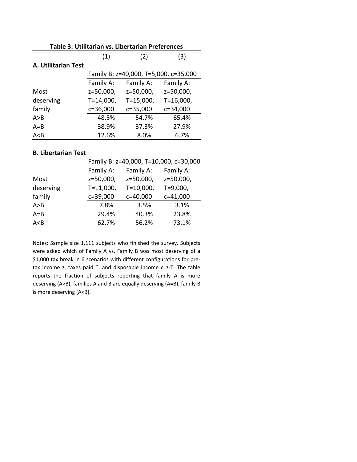| Table 3: Utilitarian vs. Libertarian Preferences |                                       |                |              |  |
|--------------------------------------------------|---------------------------------------|----------------|--------------|--|
|                                                  | (1)                                   | (2)            | (3)          |  |
| A. Utilitarian Test                              |                                       |                |              |  |
|                                                  | Family B: z=40,000, T=5,000, c=35,000 |                |              |  |
|                                                  | Family A:                             | Family A:      | Family A:    |  |
| Most                                             | z=50,000,                             | z=50,000,      | z=50,000,    |  |
| deserving                                        | $T = 14,000,$                         | $T = 15,000$ , | $T=16,000,$  |  |
| family                                           | c=36,000                              | $c = 35,000$   | $c = 34,000$ |  |
| A > B                                            | 48.5%                                 | 54.7%          | 65.4%        |  |
| $A = B$                                          | 38.9%                                 | 37.3%          | 27.9%        |  |
| A < B                                            | 12.6%                                 | 8.0%           | 6.7%         |  |

#### **B. Libertarian Test**

|           | Family B: z=40,000, T=10,000, c=30,000 |                |              |
|-----------|----------------------------------------|----------------|--------------|
|           | Family A:                              | Family A:      | Family A:    |
| Most      | z=50,000,                              | z=50,000,      | z=50,000,    |
| deserving | $T = 11,000,$                          | $T = 10,000$ , | $T = 9,000,$ |
| family    | c=39,000                               | $c=40,000$     | $c=41,000$   |
| A > B     | 7.8%                                   | 3.5%           | 3.1%         |
| $A = B$   | 29.4%                                  | 40.3%          | 23.8%        |
| A < B     | 62.7%                                  | 56.2%          | 73.1%        |

Notes: Sample size 1,111 subjects who finished the survey. Subjects were asked which of Family A vs. Family B was most deserving of a \$1,000 tax break in 6 scenarios with different configurations for pretax income z, taxes paid T, and disposable income c=z-T. The table reports the fraction of subjects reporting that family A is more deserving (A>B), families A and B are equally deserving (A=B), family B is more deserving (A<B).